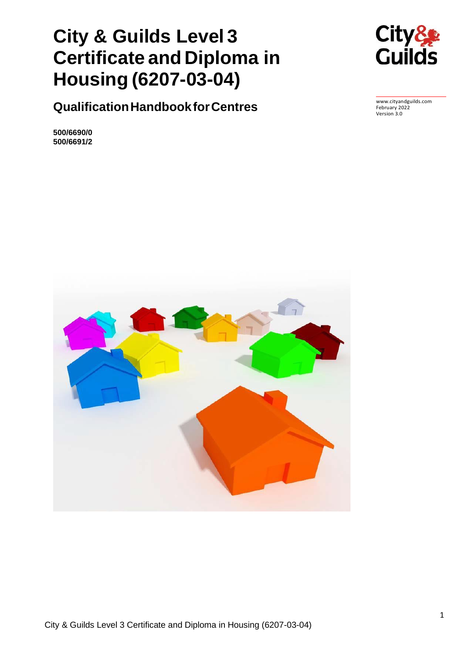# **City & Guilds Level 3 Certificate and Diploma in Housing (6207-03-04)**



**QualificationHandbookforCentres**

**500/6690/0 500/6691/2**



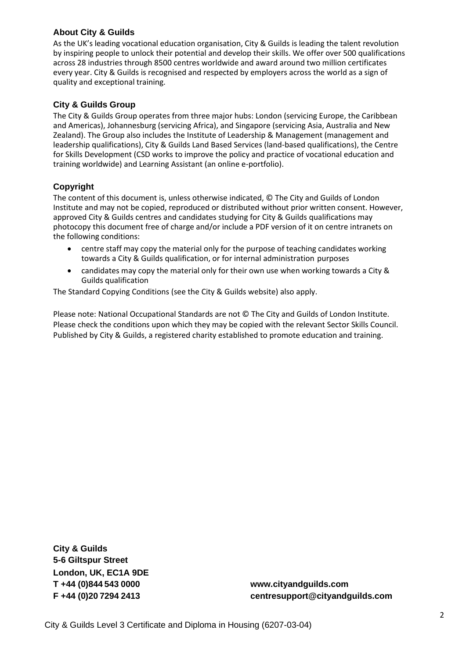### **About City & Guilds**

As the UK's leading vocational education organisation, City & Guilds is leading the talent revolution by inspiring people to unlock their potential and develop their skills. We offer over 500 qualifications across 28 industries through 8500 centres worldwide and award around two million certificates every year. City & Guilds is recognised and respected by employers across the world as a sign of quality and exceptional training.

### **City & Guilds Group**

The City & Guilds Group operates from three major hubs: London (servicing Europe, the Caribbean and Americas), Johannesburg (servicing Africa), and Singapore (servicing Asia, Australia and New Zealand). The Group also includes the Institute of Leadership & Management (management and leadership qualifications), City & Guilds Land Based Services (land-based qualifications), the Centre for Skills Development (CSD works to improve the policy and practice of vocational education and training worldwide) and Learning Assistant (an online e-portfolio).

### **Copyright**

The content of this document is, unless otherwise indicated, © The City and Guilds of London Institute and may not be copied, reproduced or distributed without prior written consent. However, approved City & Guilds centres and candidates studying for City & Guilds qualifications may photocopy this document free of charge and/or include a PDF version of it on centre intranets on the following conditions:

- centre staff may copy the material only for the purpose of teaching candidates working towards a City & Guilds qualification, or for internal administration purposes
- candidates may copy the material only for their own use when working towards a City & Guilds qualification

The Standard Copying Conditions (see the City & Guilds website) also apply.

Please note: National Occupational Standards are not © The City and Guilds of London Institute. Please check the conditions upon which they may be copied with the relevant Sector Skills Council. Published by City & Guilds, a registered charity established to promote education and training.

**City & Guilds 5-6 Giltspur Street London, UK, EC1A 9DE**

**T +44 (0)844 543 0000 [www.cityandguilds.com](http://www.cityandguilds.com/) F +44 (0)20 7294 2413 [centresupport@cityandguilds.com](mailto:centresupport@cityandguilds.com)**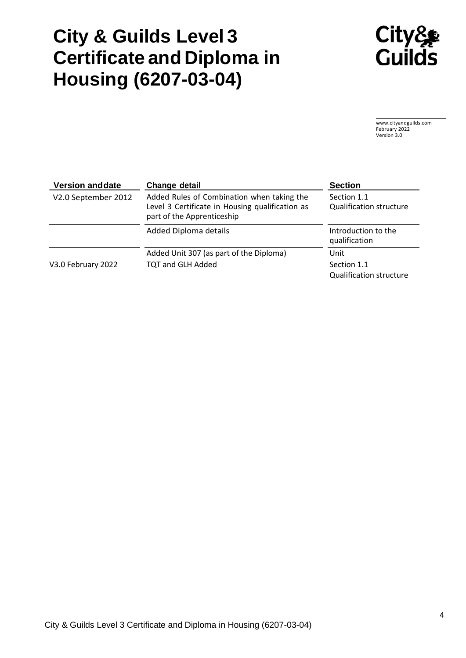# **City & Guilds Level 3 Certificate and Diploma in Housing (6207-03-04)**



[www.cityandguilds.com](http://www.cityandguilds.com/) February 2022 Version 3.0

| <b>Version and date</b> | Change detail                                                                                                               | <b>Section</b>                                |
|-------------------------|-----------------------------------------------------------------------------------------------------------------------------|-----------------------------------------------|
| V2.0 September 2012     | Added Rules of Combination when taking the<br>Level 3 Certificate in Housing qualification as<br>part of the Apprenticeship | Section 1.1<br><b>Qualification structure</b> |
|                         | Added Diploma details                                                                                                       | Introduction to the<br>qualification          |
|                         | Added Unit 307 (as part of the Diploma)                                                                                     | Unit                                          |
| V3.0 February 2022      | <b>TQT and GLH Added</b>                                                                                                    | Section 1.1<br><b>Qualification structure</b> |

City & Guilds Level 3 Certificate and Diploma in Housing (6207-03-04)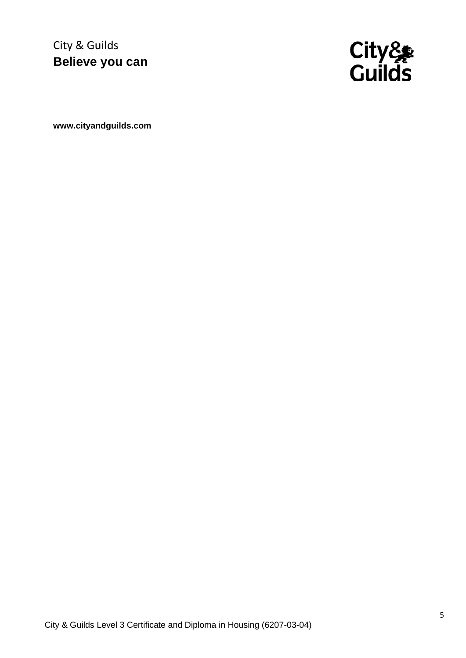City & Guilds **Believe you can**



**[www.cityandguilds.com](http://www.cityandguilds.com/)**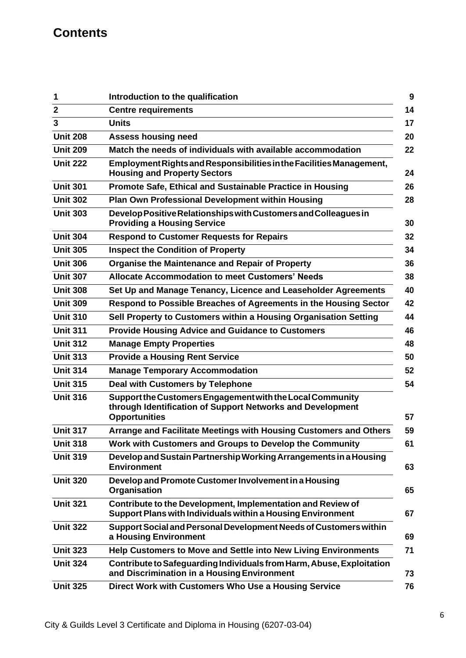## **Contents**

| 1               | Introduction to the qualification                                                                                                               |
|-----------------|-------------------------------------------------------------------------------------------------------------------------------------------------|
| $\overline{2}$  | <b>Centre requirements</b>                                                                                                                      |
| 3               | <b>Units</b>                                                                                                                                    |
| <b>Unit 208</b> | <b>Assess housing need</b>                                                                                                                      |
| <b>Unit 209</b> | Match the needs of individuals with available accommodation                                                                                     |
| <b>Unit 222</b> | Employment Rights and Responsibilities in the Facilities Management,<br><b>Housing and Property Sectors</b>                                     |
| <b>Unit 301</b> | Promote Safe, Ethical and Sustainable Practice in Housing                                                                                       |
| <b>Unit 302</b> | Plan Own Professional Development within Housing                                                                                                |
| <b>Unit 303</b> | Develop Positive Relationships with Customers and Colleagues in<br><b>Providing a Housing Service</b>                                           |
| <b>Unit 304</b> | <b>Respond to Customer Requests for Repairs</b>                                                                                                 |
| <b>Unit 305</b> | <b>Inspect the Condition of Property</b>                                                                                                        |
| <b>Unit 306</b> | <b>Organise the Maintenance and Repair of Property</b>                                                                                          |
| <b>Unit 307</b> | <b>Allocate Accommodation to meet Customers' Needs</b>                                                                                          |
| <b>Unit 308</b> | Set Up and Manage Tenancy, Licence and Leaseholder Agreements                                                                                   |
| <b>Unit 309</b> | Respond to Possible Breaches of Agreements in the Housing Sector                                                                                |
| <b>Unit 310</b> | Sell Property to Customers within a Housing Organisation Setting                                                                                |
| <b>Unit 311</b> | <b>Provide Housing Advice and Guidance to Customers</b>                                                                                         |
| <b>Unit 312</b> | <b>Manage Empty Properties</b>                                                                                                                  |
| <b>Unit 313</b> | <b>Provide a Housing Rent Service</b>                                                                                                           |
| <b>Unit 314</b> | <b>Manage Temporary Accommodation</b>                                                                                                           |
| <b>Unit 315</b> | <b>Deal with Customers by Telephone</b>                                                                                                         |
| <b>Unit 316</b> | Support the Customers Engagement with the Local Community<br>through Identification of Support Networks and Development<br><b>Opportunities</b> |
| <b>Unit 317</b> | Arrange and Facilitate Meetings with Housing Customers and Others                                                                               |
| <b>Unit 318</b> | Work with Customers and Groups to Develop the Community                                                                                         |
| <b>Unit 319</b> | Develop and Sustain Partnership Working Arrangements in a Housing<br><b>Environment</b>                                                         |
| <b>Unit 320</b> | Develop and Promote Customer Involvement in a Housing<br>Organisation                                                                           |
| <b>Unit 321</b> | Contribute to the Development, Implementation and Review of<br>Support Plans with Individuals within a Housing Environment                      |
| <b>Unit 322</b> | Support Social and Personal Development Needs of Customers within<br>a Housing Environment                                                      |
| <b>Unit 323</b> | Help Customers to Move and Settle into New Living Environments                                                                                  |
| <b>Unit 324</b> | Contribute to Safeguarding Individuals from Harm, Abuse, Exploitation<br>and Discrimination in a Housing Environment                            |
| <b>Unit 325</b> | Direct Work with Customers Who Use a Housing Service                                                                                            |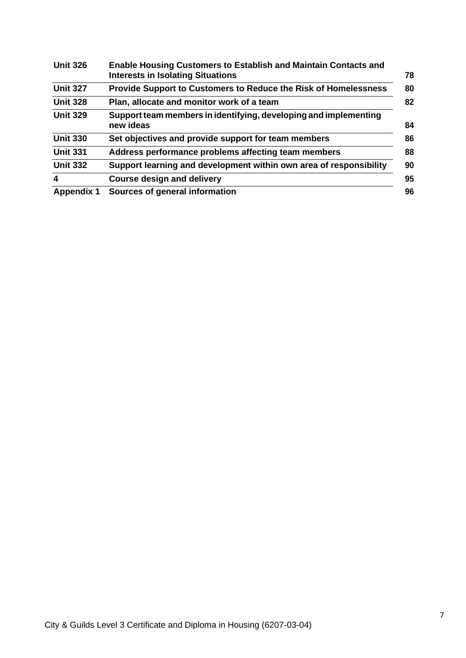| <b>Unit 326</b>         | <b>Enable Housing Customers to Establish and Maintain Contacts and</b><br><b>Interests in Isolating Situations</b> |
|-------------------------|--------------------------------------------------------------------------------------------------------------------|
| <b>Unit 327</b>         | <b>Provide Support to Customers to Reduce the Risk of Homelessness</b>                                             |
| <b>Unit 328</b>         | Plan, allocate and monitor work of a team                                                                          |
| <b>Unit 329</b>         | Support team members in identifying, developing and implementing<br>new ideas                                      |
| <b>Unit 330</b>         | Set objectives and provide support for team members                                                                |
| <b>Unit 331</b>         | Address performance problems affecting team members                                                                |
| <b>Unit 332</b>         | Support learning and development within own area of responsibility                                                 |
| $\overline{\mathbf{4}}$ | <b>Course design and delivery</b>                                                                                  |
| <b>Appendix 1</b>       | Sources of general information                                                                                     |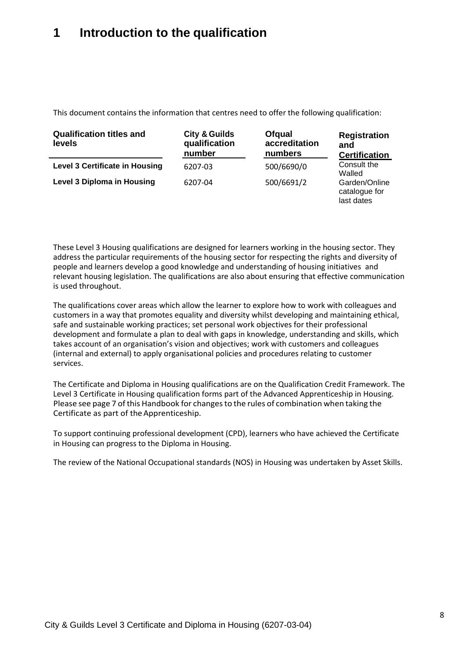## **1 Introduction to the qualification**

This document contains the information that centres need to offer the following qualification:

| <b>Qualification titles and</b><br><b>levels</b> | <b>City &amp; Guilds</b><br>qualification<br>number | <b>Ofqual</b><br>accreditation<br>numbers | <b>Registration</b><br>and<br><b>Certification</b> |
|--------------------------------------------------|-----------------------------------------------------|-------------------------------------------|----------------------------------------------------|
| <b>Level 3 Certificate in Housing</b>            | 6207-03                                             | 500/6690/0                                | Consult the<br>Walled                              |
| <b>Level 3 Diploma in Housing</b>                | 6207-04                                             | 500/6691/2                                | Garden/Online<br>catalogue for<br>last dates       |

These Level 3 Housing qualifications are designed for learners working in the housing sector. They address the particular requirements of the housing sector for respecting the rights and diversity of people and learners develop a good knowledge and understanding of housing initiatives and relevant housing legislation. The qualifications are also about ensuring that effective communication is used throughout.

The qualifications cover areas which allow the learner to explore how to work with colleagues and customers in a way that promotes equality and diversity whilst developing and maintaining ethical, safe and sustainable working practices; set personal work objectives for their professional development and formulate a plan to deal with gaps in knowledge, understanding and skills, which takes account of an organisation's vision and objectives; work with customers and colleagues (internal and external) to apply organisational policies and procedures relating to customer services.

The Certificate and Diploma in Housing qualifications are on the Qualification Credit Framework. The Level 3 Certificate in Housing qualification forms part of the Advanced Apprenticeship in Housing. Please see page 7 of this Handbook for changes to the rules of combination when taking the Certificate as part of the Apprenticeship.

To support continuing professional development (CPD), learners who have achieved the Certificate in Housing can progress to the Diploma in Housing.

The review of the National Occupational standards (NOS) in Housing was undertaken by Asset Skills.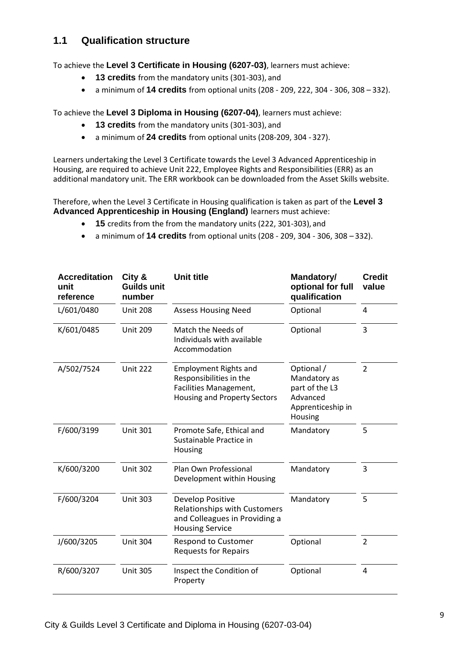### **1.1 Qualification structure**

To achieve the **Level 3 Certificate in Housing (6207-03)**, learners must achieve:

- **13 credits** from the mandatory units (301-303), and
- a minimum of **14 credits** from optional units (208 209, 222, 304 306, 308 332).

To achieve the **Level 3 Diploma in Housing (6207-04)**, learners must achieve:

- **13 credits** from the mandatory units (301-303), and
- a minimum of **24 credits** from optional units (208-209, 304 -327).

Learners undertaking the Level 3 Certificate towards the Level 3 Advanced Apprenticeship in Housing, are required to achieve Unit 222, Employee Rights and Responsibilities (ERR) as an additional mandatory unit. The ERR workbook can be downloaded from the Asset Skills website.

Therefore, when the Level 3 Certificate in Housing qualification is taken as part of the **Level 3 Advanced Apprenticeship in Housing (England)** learners must achieve:

- **15** credits from the from the mandatory units (222, 301-303), and
- a minimum of **14 credits** from optional units (208 209, 304 306, 308 332).

| <b>Accreditation</b><br>unit<br>reference | City &<br>Guilds unit<br>number | Unit title                                                                                                               | Mandatory/<br>optional for full<br>qualification                                         | <b>Credit</b><br>value |
|-------------------------------------------|---------------------------------|--------------------------------------------------------------------------------------------------------------------------|------------------------------------------------------------------------------------------|------------------------|
| L/601/0480                                | <b>Unit 208</b>                 | <b>Assess Housing Need</b>                                                                                               | Optional                                                                                 | 4                      |
| K/601/0485                                | <b>Unit 209</b>                 | Match the Needs of<br>Individuals with available<br>Accommodation                                                        | Optional                                                                                 | 3                      |
| A/502/7524                                | <b>Unit 222</b>                 | <b>Employment Rights and</b><br>Responsibilities in the<br>Facilities Management,<br><b>Housing and Property Sectors</b> | Optional /<br>Mandatory as<br>part of the L3<br>Advanced<br>Apprenticeship in<br>Housing | $\overline{2}$         |
| F/600/3199                                | <b>Unit 301</b>                 | Promote Safe, Ethical and<br>Sustainable Practice in<br>Housing                                                          | Mandatory                                                                                | 5                      |
| K/600/3200                                | <b>Unit 302</b>                 | Plan Own Professional<br>Development within Housing                                                                      | Mandatory                                                                                | 3                      |
| F/600/3204                                | <b>Unit 303</b>                 | Develop Positive<br><b>Relationships with Customers</b><br>and Colleagues in Providing a<br><b>Housing Service</b>       | Mandatory                                                                                | 5                      |
| J/600/3205                                | <b>Unit 304</b>                 | <b>Respond to Customer</b><br><b>Requests for Repairs</b>                                                                | Optional                                                                                 | $\overline{2}$         |
| R/600/3207                                | <b>Unit 305</b>                 | Inspect the Condition of<br>Property                                                                                     | Optional                                                                                 | 4                      |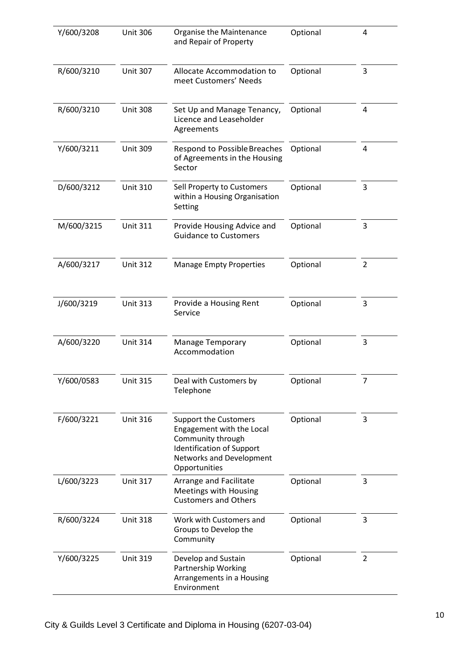| Y/600/3208 | <b>Unit 306</b> | Organise the Maintenance<br>and Repair of Property                                                                                                              | Optional | 4              |
|------------|-----------------|-----------------------------------------------------------------------------------------------------------------------------------------------------------------|----------|----------------|
| R/600/3210 | <b>Unit 307</b> | Allocate Accommodation to<br>meet Customers' Needs                                                                                                              | Optional | 3              |
| R/600/3210 | <b>Unit 308</b> | Set Up and Manage Tenancy,<br>Licence and Leaseholder<br>Agreements                                                                                             | Optional | 4              |
| Y/600/3211 | <b>Unit 309</b> | Respond to Possible Breaches<br>of Agreements in the Housing<br>Sector                                                                                          | Optional | 4              |
| D/600/3212 | <b>Unit 310</b> | Sell Property to Customers<br>within a Housing Organisation<br>Setting                                                                                          | Optional | 3              |
| M/600/3215 | <b>Unit 311</b> | Provide Housing Advice and<br><b>Guidance to Customers</b>                                                                                                      | Optional | 3              |
| A/600/3217 | <b>Unit 312</b> | <b>Manage Empty Properties</b>                                                                                                                                  | Optional | $\overline{2}$ |
| J/600/3219 | <b>Unit 313</b> | Provide a Housing Rent<br>Service                                                                                                                               | Optional | 3              |
| A/600/3220 | <b>Unit 314</b> | <b>Manage Temporary</b><br>Accommodation                                                                                                                        | Optional | 3              |
| Y/600/0583 | <b>Unit 315</b> | Deal with Customers by<br>Telephone                                                                                                                             | Optional | 7              |
| F/600/3221 | <b>Unit 316</b> | <b>Support the Customers</b><br>Engagement with the Local<br>Community through<br><b>Identification of Support</b><br>Networks and Development<br>Opportunities | Optional | 3              |
| L/600/3223 | <b>Unit 317</b> | Arrange and Facilitate<br>Meetings with Housing<br><b>Customers and Others</b>                                                                                  | Optional | 3              |
| R/600/3224 | <b>Unit 318</b> | Work with Customers and<br>Groups to Develop the<br>Community                                                                                                   | Optional | 3              |
| Y/600/3225 | <b>Unit 319</b> | Develop and Sustain<br>Partnership Working<br>Arrangements in a Housing<br>Environment                                                                          | Optional | $\overline{2}$ |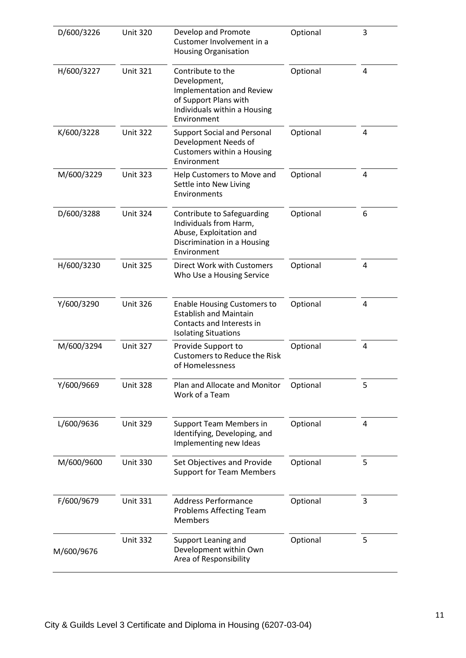| D/600/3226 | <b>Unit 320</b> | Develop and Promote<br>Customer Involvement in a<br><b>Housing Organisation</b>                                                        | Optional | 3 |
|------------|-----------------|----------------------------------------------------------------------------------------------------------------------------------------|----------|---|
| H/600/3227 | <b>Unit 321</b> | Contribute to the<br>Development,<br>Implementation and Review<br>of Support Plans with<br>Individuals within a Housing<br>Environment | Optional | 4 |
| K/600/3228 | <b>Unit 322</b> | <b>Support Social and Personal</b><br>Development Needs of<br>Customers within a Housing<br>Environment                                | Optional | 4 |
| M/600/3229 | <b>Unit 323</b> | Help Customers to Move and<br>Settle into New Living<br>Environments                                                                   | Optional | 4 |
| D/600/3288 | <b>Unit 324</b> | Contribute to Safeguarding<br>Individuals from Harm,<br>Abuse, Exploitation and<br>Discrimination in a Housing<br>Environment          | Optional | 6 |
| H/600/3230 | <b>Unit 325</b> | Direct Work with Customers<br>Who Use a Housing Service                                                                                | Optional | 4 |
| Y/600/3290 | <b>Unit 326</b> | <b>Enable Housing Customers to</b><br><b>Establish and Maintain</b><br>Contacts and Interests in<br><b>Isolating Situations</b>        | Optional | 4 |
| M/600/3294 | <b>Unit 327</b> | Provide Support to<br><b>Customers to Reduce the Risk</b><br>of Homelessness                                                           | Optional | 4 |
| Y/600/9669 | <b>Unit 328</b> | Plan and Allocate and Monitor<br>Work of a Team                                                                                        | Optional | 5 |
| L/600/9636 | <b>Unit 329</b> | <b>Support Team Members in</b><br>Identifying, Developing, and<br>Implementing new Ideas                                               | Optional | 4 |
| M/600/9600 | <b>Unit 330</b> | Set Objectives and Provide<br><b>Support for Team Members</b>                                                                          | Optional | 5 |
| F/600/9679 | <b>Unit 331</b> | <b>Address Performance</b><br><b>Problems Affecting Team</b><br><b>Members</b>                                                         | Optional | 3 |
| M/600/9676 | <b>Unit 332</b> | Support Leaning and<br>Development within Own<br>Area of Responsibility                                                                | Optional | 5 |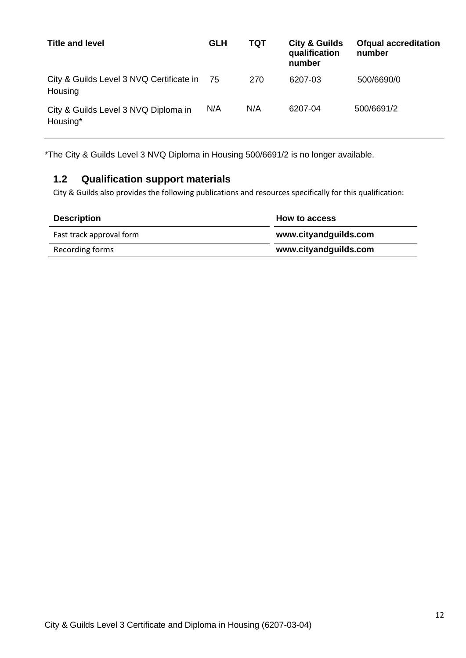| <b>Title and level</b>                              | <b>GLH</b> | TQT | <b>City &amp; Guilds</b><br>qualification<br>number | <b>Ofqual accreditation</b><br>number |
|-----------------------------------------------------|------------|-----|-----------------------------------------------------|---------------------------------------|
| City & Guilds Level 3 NVQ Certificate in<br>Housing | - 75       | 270 | 6207-03                                             | 500/6690/0                            |
| City & Guilds Level 3 NVQ Diploma in<br>Housing*    | N/A        | N/A | 6207-04                                             | 500/6691/2                            |

\*The City & Guilds Level 3 NVQ Diploma in Housing 500/6691/2 is no longer available.

## **1.2 Qualification support materials**

City & Guilds also provides the following publications and resources specifically for this qualification:

| <b>Description</b>       | How to access         |
|--------------------------|-----------------------|
| Fast track approval form | www.cityandguilds.com |
| Recording forms          | www.cityandguilds.com |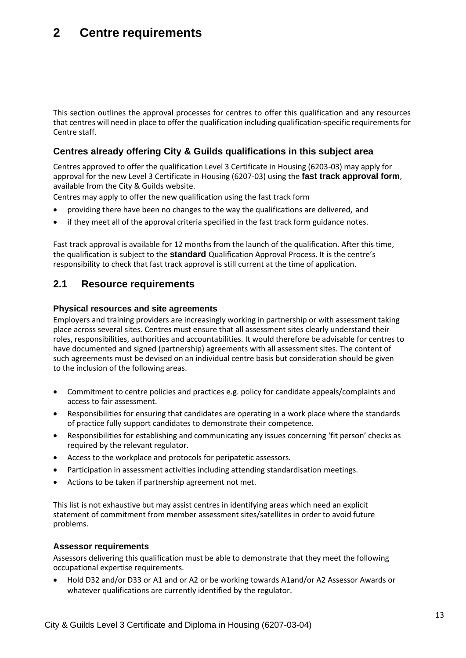## **2 Centre requirements**

This section outlines the approval processes for centres to offer this qualification and any resources that centres will need in place to offer the qualification including qualification-specific requirements for Centre staff.

### **Centres already offering City & Guilds qualifications in this subject area**

Centres approved to offer the qualification Level 3 Certificate in Housing (6203-03) may apply for approval for the new Level 3 Certificate in Housing (6207-03) using the **fast track approval form**, available from the City & Guilds website.

Centres may apply to offer the new qualification using the fast track form

- providing there have been no changes to the way the qualifications are delivered, and
- if they meet all of the approval criteria specified in the fast track form guidance notes.

Fast track approval is available for 12 months from the launch of the qualification. After this time, the qualification is subject to the **standard** Qualification Approval Process. It is the centre's responsibility to check that fast track approval is still current at the time of application.

### **2.1 Resource requirements**

### **Physical resources and site agreements**

Employers and training providers are increasingly working in partnership or with assessment taking place across several sites. Centres must ensure that all assessment sites clearly understand their roles, responsibilities, authorities and accountabilities. It would therefore be advisable for centres to have documented and signed (partnership) agreements with all assessment sites. The content of such agreements must be devised on an individual centre basis but consideration should be given to the inclusion of the following areas.

- Commitment to centre policies and practices e.g. policy for candidate appeals/complaints and access to fair assessment.
- Responsibilities for ensuring that candidates are operating in a work place where the standards of practice fully support candidates to demonstrate their competence.
- Responsibilities for establishing and communicating any issues concerning 'fit person' checks as required by the relevant regulator.
- Access to the workplace and protocols for peripatetic assessors.
- Participation in assessment activities including attending standardisation meetings.
- Actions to be taken if partnership agreement not met.

This list is not exhaustive but may assist centres in identifying areas which need an explicit statement of commitment from member assessment sites/satellites in order to avoid future problems.

### **Assessor requirements**

Assessors delivering this qualification must be able to demonstrate that they meet the following occupational expertise requirements.

• Hold D32 and/or D33 or A1 and or A2 or be working towards A1and/or A2 Assessor Awards or whatever qualifications are currently identified by the regulator.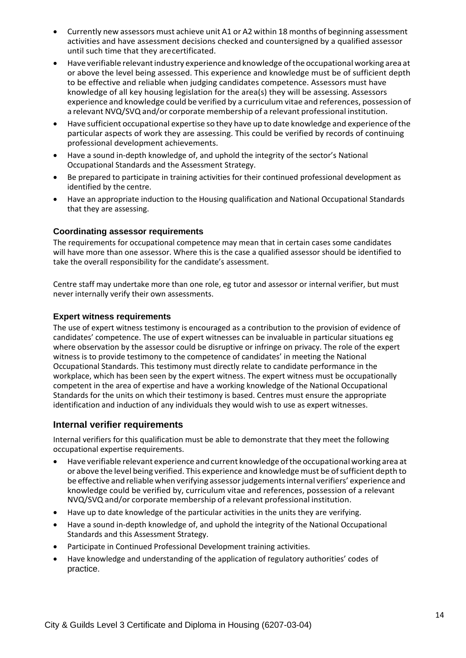- Currently new assessors must achieve unit A1 or A2 within 18 months of beginning assessment activities and have assessment decisions checked and countersigned by a qualified assessor until such time that they arecertificated.
- Have verifiable relevantindustry experience and knowledge ofthe occupational working area at or above the level being assessed. This experience and knowledge must be of sufficient depth to be effective and reliable when judging candidates competence. Assessors must have knowledge of all key housing legislation for the area(s) they will be assessing. Assessors experience and knowledge could be verified by a curriculum vitae and references, possession of a relevant NVQ/SVQ and/or corporate membership of a relevant professional institution.
- Have sufficient occupational expertise so they have up to date knowledge and experience ofthe particular aspects of work they are assessing. This could be verified by records of continuing professional development achievements.
- Have a sound in-depth knowledge of, and uphold the integrity of the sector's National Occupational Standards and the Assessment Strategy.
- Be prepared to participate in training activities for their continued professional development as identified by the centre.
- Have an appropriate induction to the Housing qualification and National Occupational Standards that they are assessing.

### **Coordinating assessor requirements**

The requirements for occupational competence may mean that in certain cases some candidates will have more than one assessor. Where this is the case a qualified assessor should be identified to take the overall responsibility for the candidate's assessment.

Centre staff may undertake more than one role, eg tutor and assessor or internal verifier, but must never internally verify their own assessments.

### **Expert witness requirements**

The use of expert witness testimony is encouraged as a contribution to the provision of evidence of candidates' competence. The use of expert witnesses can be invaluable in particular situations eg where observation by the assessor could be disruptive or infringe on privacy. The role of the expert witness is to provide testimony to the competence of candidates' in meeting the National Occupational Standards. This testimony must directly relate to candidate performance in the workplace, which has been seen by the expert witness. The expert witness must be occupationally competent in the area of expertise and have a working knowledge of the National Occupational Standards for the units on which their testimony is based. Centres must ensure the appropriate identification and induction of any individuals they would wish to use as expert witnesses.

### **Internal verifier requirements**

Internal verifiers for this qualification must be able to demonstrate that they meet the following occupational expertise requirements.

- Have verifiable relevant experience and current knowledge of the occupational working area at or above the level being verified. This experience and knowledge must be ofsufficient depth to be effective and reliable when verifying assessor judgements internal verifiers' experience and knowledge could be verified by, curriculum vitae and references, possession of a relevant NVQ/SVQ and/or corporate membership of a relevant professional institution.
- Have up to date knowledge of the particular activities in the units they are verifying.
- Have a sound in-depth knowledge of, and uphold the integrity of the National Occupational Standards and this Assessment Strategy.
- Participate in Continued Professional Development training activities.
- Have knowledge and understanding of the application of regulatory authorities' codes of practice.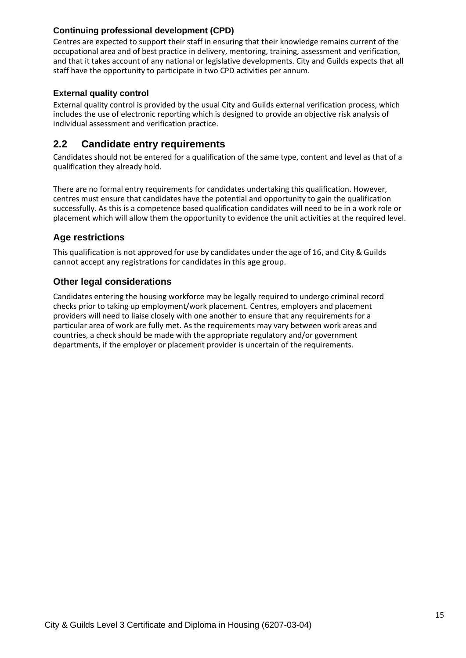### **Continuing professional development (CPD)**

Centres are expected to support their staff in ensuring that their knowledge remains current of the occupational area and of best practice in delivery, mentoring, training, assessment and verification, and that it takes account of any national or legislative developments. City and Guilds expects that all staff have the opportunity to participate in two CPD activities per annum.

### **External quality control**

External quality control is provided by the usual City and Guilds external verification process, which includes the use of electronic reporting which is designed to provide an objective risk analysis of individual assessment and verification practice.

### **2.2 Candidate entry requirements**

Candidates should not be entered for a qualification of the same type, content and level as that of a qualification they already hold.

There are no formal entry requirements for candidates undertaking this qualification. However, centres must ensure that candidates have the potential and opportunity to gain the qualification successfully. As this is a competence based qualification candidates will need to be in a work role or placement which will allow them the opportunity to evidence the unit activities at the required level.

### **Age restrictions**

This qualification is not approved for use by candidates under the age of 16, and City & Guilds cannot accept any registrations for candidates in this age group.

### **Other legal considerations**

Candidates entering the housing workforce may be legally required to undergo criminal record checks prior to taking up employment/work placement. Centres, employers and placement providers will need to liaise closely with one another to ensure that any requirements for a particular area of work are fully met. As the requirements may vary between work areas and countries, a check should be made with the appropriate regulatory and/or government departments, if the employer or placement provider is uncertain of the requirements.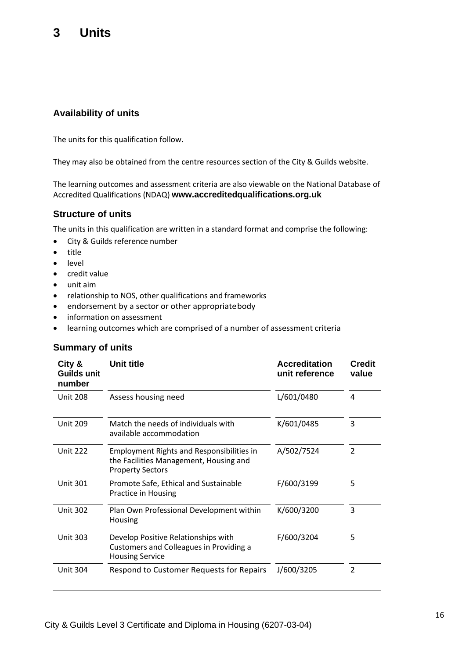## **3 Units**

### **Availability of units**

The units for this qualification follow.

They may also be obtained from the centre resources section of the City & Guilds website.

The learning outcomes and assessment criteria are also viewable on the National Database of Accredited Qualifications (NDAQ) **[www.accreditedqualifications.org.uk](http://www.accreditedqualifications.org.uk/)**

### **Structure of units**

The units in this qualification are written in a standard format and comprise the following:

- City & Guilds reference number
- title
- **level**
- credit value
- unit aim
- relationship to NOS, other qualifications and frameworks
- endorsement by a sector or other appropriatebody
- information on assessment
- learning outcomes which are comprised of a number of assessment criteria

### **Summary of units**

| City &<br>Guilds unit<br>number | Unit title                                                                                                            | <b>Accreditation</b><br>unit reference | <b>Credit</b><br>value |
|---------------------------------|-----------------------------------------------------------------------------------------------------------------------|----------------------------------------|------------------------|
| <b>Unit 208</b>                 | Assess housing need                                                                                                   | L/601/0480                             | 4                      |
| <b>Unit 209</b>                 | Match the needs of individuals with<br>available accommodation                                                        | K/601/0485                             | 3                      |
| <b>Unit 222</b>                 | <b>Employment Rights and Responsibilities in</b><br>the Facilities Management, Housing and<br><b>Property Sectors</b> | A/502/7524                             | $\overline{2}$         |
| <b>Unit 301</b>                 | Promote Safe, Ethical and Sustainable<br>Practice in Housing                                                          | F/600/3199                             | 5                      |
| <b>Unit 302</b>                 | Plan Own Professional Development within<br>Housing                                                                   | K/600/3200                             | 3                      |
| <b>Unit 303</b>                 | Develop Positive Relationships with<br><b>Customers and Colleagues in Providing a</b><br><b>Housing Service</b>       | F/600/3204                             | 5                      |
| <b>Unit 304</b>                 | Respond to Customer Requests for Repairs                                                                              | J/600/3205                             | $\overline{2}$         |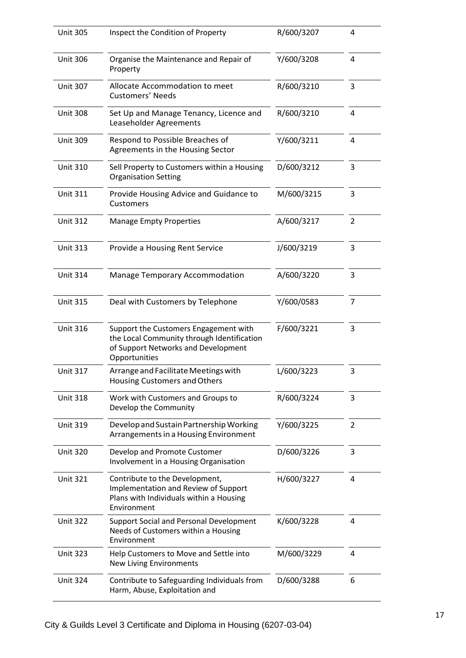| <b>Unit 305</b> | Inspect the Condition of Property                                                                                                           | R/600/3207 | 4              |
|-----------------|---------------------------------------------------------------------------------------------------------------------------------------------|------------|----------------|
| <b>Unit 306</b> | Organise the Maintenance and Repair of<br>Property                                                                                          | Y/600/3208 | 4              |
| <b>Unit 307</b> | Allocate Accommodation to meet<br><b>Customers' Needs</b>                                                                                   | R/600/3210 | 3              |
| <b>Unit 308</b> | Set Up and Manage Tenancy, Licence and<br>Leaseholder Agreements                                                                            | R/600/3210 | 4              |
| <b>Unit 309</b> | Respond to Possible Breaches of<br>Agreements in the Housing Sector                                                                         | Y/600/3211 | $\overline{4}$ |
| <b>Unit 310</b> | Sell Property to Customers within a Housing<br><b>Organisation Setting</b>                                                                  | D/600/3212 | 3              |
| <b>Unit 311</b> | Provide Housing Advice and Guidance to<br>Customers                                                                                         | M/600/3215 | 3              |
| <b>Unit 312</b> | <b>Manage Empty Properties</b>                                                                                                              | A/600/3217 | $\overline{2}$ |
| <b>Unit 313</b> | Provide a Housing Rent Service                                                                                                              | J/600/3219 | 3              |
| <b>Unit 314</b> | <b>Manage Temporary Accommodation</b>                                                                                                       | A/600/3220 | 3              |
| <b>Unit 315</b> | Deal with Customers by Telephone                                                                                                            | Y/600/0583 | $\overline{7}$ |
| <b>Unit 316</b> | Support the Customers Engagement with<br>the Local Community through Identification<br>of Support Networks and Development<br>Opportunities | F/600/3221 | 3              |
| <b>Unit 317</b> | Arrange and Facilitate Meetings with<br>Housing Customers and Others                                                                        | L/600/3223 | 3              |
| <b>Unit 318</b> | Work with Customers and Groups to<br>Develop the Community                                                                                  | R/600/3224 | 3              |
| <b>Unit 319</b> | Develop and Sustain Partnership Working<br>Arrangements in a Housing Environment                                                            | Y/600/3225 | 2              |
| <b>Unit 320</b> | Develop and Promote Customer<br>Involvement in a Housing Organisation                                                                       | D/600/3226 | 3              |
| <b>Unit 321</b> | Contribute to the Development,<br>Implementation and Review of Support<br>Plans with Individuals within a Housing<br>Environment            | H/600/3227 | 4              |
| <b>Unit 322</b> | Support Social and Personal Development<br>Needs of Customers within a Housing<br>Environment                                               | K/600/3228 | 4              |
| <b>Unit 323</b> | Help Customers to Move and Settle into<br><b>New Living Environments</b>                                                                    | M/600/3229 | 4              |
| <b>Unit 324</b> | Contribute to Safeguarding Individuals from<br>Harm, Abuse, Exploitation and                                                                | D/600/3288 | 6              |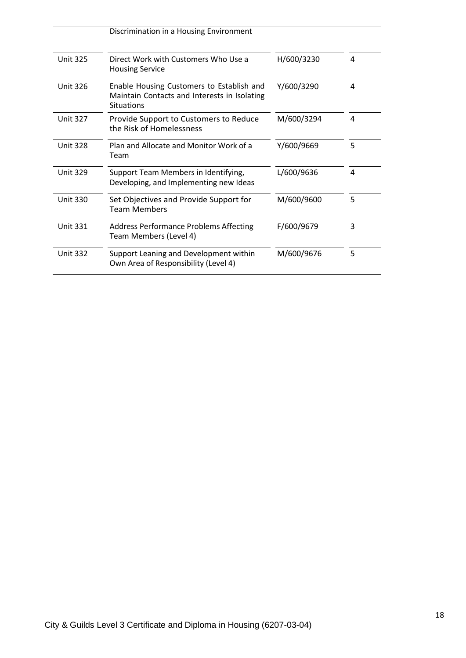|                 | Discrimination in a Housing Environment                                                                 |            |   |
|-----------------|---------------------------------------------------------------------------------------------------------|------------|---|
| <b>Unit 325</b> | Direct Work with Customers Who Use a<br><b>Housing Service</b>                                          | H/600/3230 | 4 |
| <b>Unit 326</b> | Enable Housing Customers to Establish and<br>Maintain Contacts and Interests in Isolating<br>Situations | Y/600/3290 | 4 |
| <b>Unit 327</b> | Provide Support to Customers to Reduce<br>the Risk of Homelessness                                      | M/600/3294 | 4 |
| <b>Unit 328</b> | Plan and Allocate and Monitor Work of a<br>Team                                                         | Y/600/9669 | 5 |
| <b>Unit 329</b> | Support Team Members in Identifying,<br>Developing, and Implementing new Ideas                          | L/600/9636 | 4 |
| <b>Unit 330</b> | Set Objectives and Provide Support for<br><b>Team Members</b>                                           | M/600/9600 | 5 |
| <b>Unit 331</b> | <b>Address Performance Problems Affecting</b><br>Team Members (Level 4)                                 | F/600/9679 | 3 |
| <b>Unit 332</b> | Support Leaning and Development within<br>Own Area of Responsibility (Level 4)                          | M/600/9676 | 5 |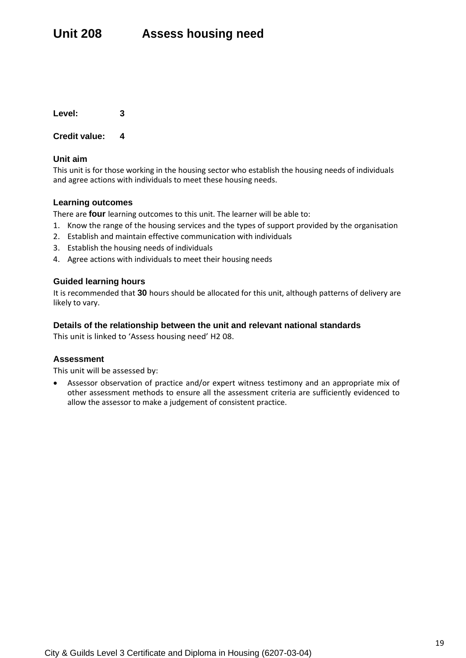### **Credit value: 4**

### **Unit aim**

This unit is for those working in the housing sector who establish the housing needs of individuals and agree actions with individuals to meet these housing needs.

### **Learning outcomes**

There are **four** learning outcomes to this unit. The learner will be able to:

- 1. Know the range of the housing services and the types of support provided by the organisation
- 2. Establish and maintain effective communication with individuals
- 3. Establish the housing needs of individuals
- 4. Agree actions with individuals to meet their housing needs

### **Guided learning hours**

It is recommended that **30** hours should be allocated for this unit, although patterns of delivery are likely to vary.

### **Details of the relationship between the unit and relevant national standards**

This unit is linked to 'Assess housing need' H2 08.

### **Assessment**

This unit will be assessed by: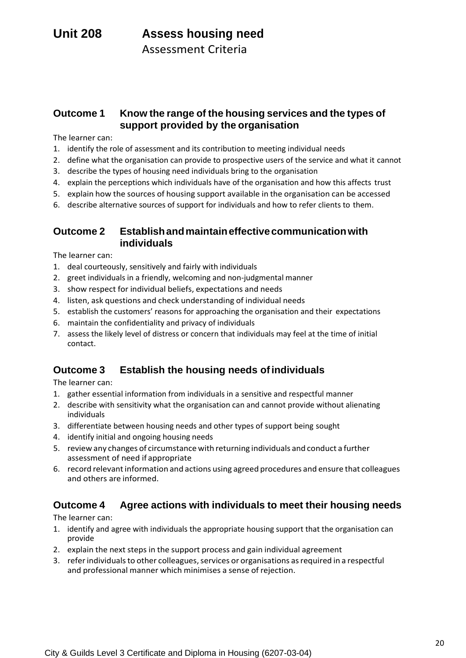### **Outcome 1 Know the range of the housing services and the types of support provided by the organisation**

The learner can:

- 1. identify the role of assessment and its contribution to meeting individual needs
- 2. define what the organisation can provide to prospective users of the service and what it cannot
- 3. describe the types of housing need individuals bring to the organisation
- 4. explain the perceptions which individuals have of the organisation and how this affects trust
- 5. explain how the sources of housing support available in the organisation can be accessed
- 6. describe alternative sources of support for individuals and how to refer clients to them.

### **Outcome 2 Establishandmaintaineffectivecommunicationwith individuals**

The learner can:

- 1. deal courteously, sensitively and fairly with individuals
- 2. greet individuals in a friendly, welcoming and non-judgmental manner
- 3. show respect for individual beliefs, expectations and needs
- 4. listen, ask questions and check understanding of individual needs
- 5. establish the customers' reasons for approaching the organisation and their expectations
- 6. maintain the confidentiality and privacy of individuals
- 7. assess the likely level of distress or concern that individuals may feel at the time of initial contact.

### **Outcome 3 Establish the housing needs ofindividuals**

The learner can:

- 1. gather essential information from individuals in a sensitive and respectful manner
- 2. describe with sensitivity what the organisation can and cannot provide without alienating individuals
- 3. differentiate between housing needs and other types of support being sought
- 4. identify initial and ongoing housing needs
- 5. review any changes of circumstance with returning individuals and conduct a further assessment of need if appropriate
- 6. record relevantinformation and actions using agreed procedures and ensure that colleagues and others are informed.

### **Outcome 4 Agree actions with individuals to meet their housing needs**

- 1. identify and agree with individuals the appropriate housing support that the organisation can provide
- 2. explain the next steps in the support process and gain individual agreement
- 3. referindividualsto other colleagues,services or organisations asrequired in a respectful and professional manner which minimises a sense of rejection.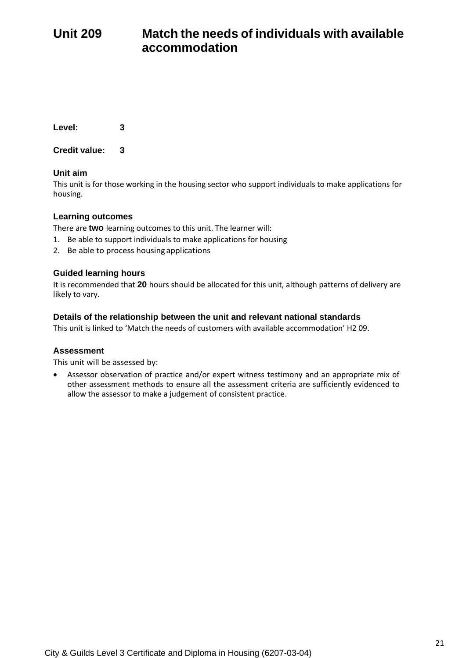## **Unit 209 Match the needs of individuals with available accommodation**

**Level: 3**

**Credit value: 3**

### **Unit aim**

This unit is for those working in the housing sector who support individuals to make applications for housing.

### **Learning outcomes**

There are **two** learning outcomes to this unit. The learner will:

- 1. Be able to support individuals to make applications for housing
- 2. Be able to process housing applications

### **Guided learning hours**

It is recommended that **20** hours should be allocated for this unit, although patterns of delivery are likely to vary.

### **Details of the relationship between the unit and relevant national standards**

This unit is linked to 'Match the needs of customers with available accommodation' H2 09.

### **Assessment**

This unit will be assessed by: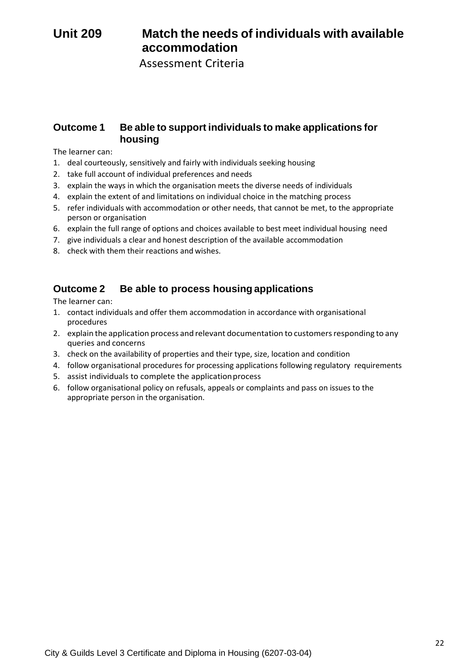## **Unit 209 Match the needs of individuals with available accommodation**

Assessment Criteria

### **Outcome 1 Be able to support individuals to make applications for housing**

The learner can:

- 1. deal courteously, sensitively and fairly with individuals seeking housing
- 2. take full account of individual preferences and needs
- 3. explain the ways in which the organisation meets the diverse needs of individuals
- 4. explain the extent of and limitations on individual choice in the matching process
- 5. refer individuals with accommodation or other needs, that cannot be met, to the appropriate person or organisation
- 6. explain the full range of options and choices available to best meet individual housing need
- 7. give individuals a clear and honest description of the available accommodation
- 8. check with them their reactions and wishes.

### **Outcome 2 Be able to process housing applications**

- 1. contact individuals and offer them accommodation in accordance with organisational procedures
- 2. explain the application process and relevant documentation to customersresponding to any queries and concerns
- 3. check on the availability of properties and their type, size, location and condition
- 4. follow organisational procedures for processing applications following regulatory requirements
- 5. assist individuals to complete the applicationprocess
- 6. follow organisational policy on refusals, appeals or complaints and pass on issues to the appropriate person in the organisation.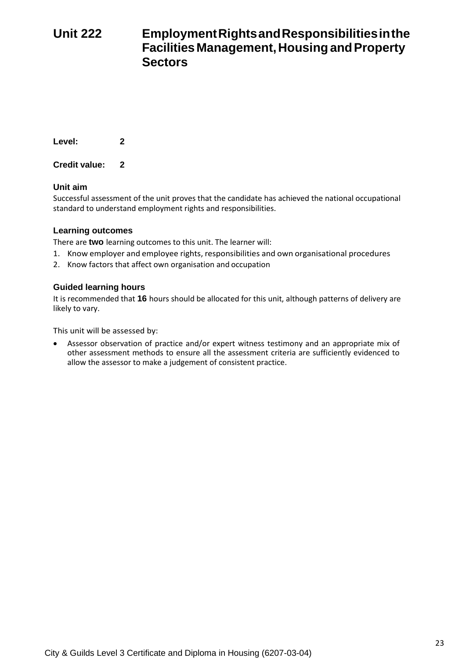## **Unit 222 EmploymentRightsandResponsibilitiesinthe FacilitiesManagement,HousingandProperty Sectors**

**Level: 2**

**Credit value: 2**

### **Unit aim**

Successful assessment of the unit proves that the candidate has achieved the national occupational standard to understand employment rights and responsibilities.

### **Learning outcomes**

There are **two** learning outcomes to this unit. The learner will:

- 1. Know employer and employee rights, responsibilities and own organisational procedures
- 2. Know factors that affect own organisation and occupation

### **Guided learning hours**

It is recommended that **16** hours should be allocated for this unit, although patterns of delivery are likely to vary.

This unit will be assessed by: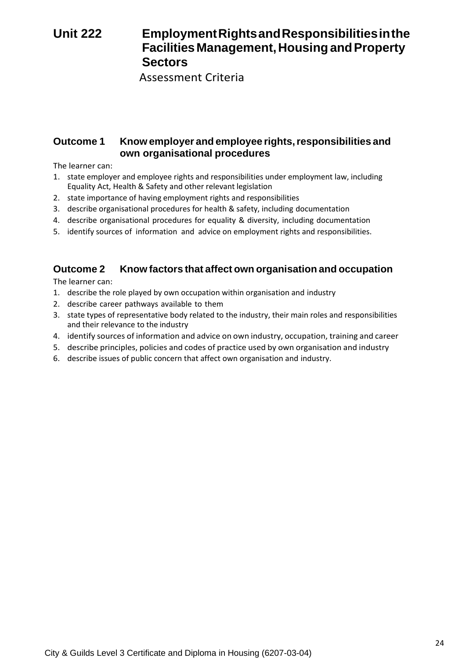## **Unit 222 EmploymentRightsandResponsibilitiesinthe FacilitiesManagement,HousingandProperty Sectors**

Assessment Criteria

### **Outcome 1 Know employer and employee rights,responsibilities and own organisational procedures**

The learner can:

- 1. state employer and employee rights and responsibilities under employment law, including Equality Act, Health & Safety and other relevant legislation
- 2. state importance of having employment rights and responsibilities
- 3. describe organisational procedures for health & safety, including documentation
- 4. describe organisational procedures for equality & diversity, including documentation
- 5. identify sources of information and advice on employment rights and responsibilities.

## **Outcome 2 Know factors that affect own organisation and occupation**

- 1. describe the role played by own occupation within organisation and industry
- 2. describe career pathways available to them
- 3. state types of representative body related to the industry, their main roles and responsibilities and their relevance to the industry
- 4. identify sources of information and advice on own industry, occupation, training and career
- 5. describe principles, policies and codes of practice used by own organisation and industry
- 6. describe issues of public concern that affect own organisation and industry.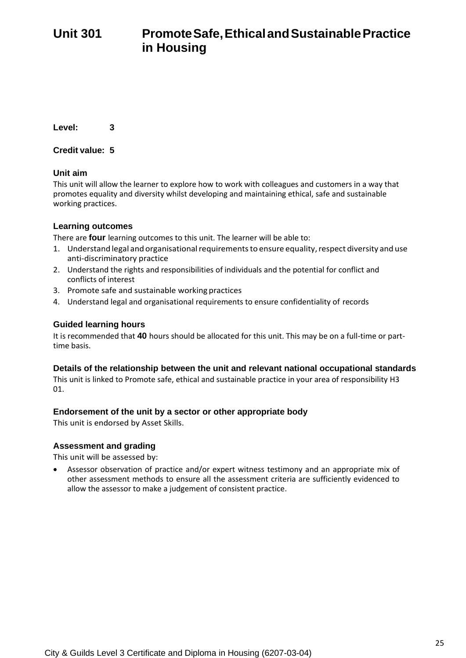**Credit value: 5**

### **Unit aim**

This unit will allow the learner to explore how to work with colleagues and customers in a way that promotes equality and diversity whilst developing and maintaining ethical, safe and sustainable working practices.

### **Learning outcomes**

There are **four** learning outcomes to this unit. The learner will be able to:

- 1. Understand legal and organisational requirements to ensure equality, respect diversity and use anti-discriminatory practice
- 2. Understand the rights and responsibilities of individuals and the potential for conflict and conflicts of interest
- 3. Promote safe and sustainable working practices
- 4. Understand legal and organisational requirements to ensure confidentiality of records

### **Guided learning hours**

It is recommended that **40** hours should be allocated for this unit. This may be on a full-time or parttime basis.

### **Details of the relationship between the unit and relevant national occupational standards**

This unit is linked to Promote safe, ethical and sustainable practice in your area of responsibility H3 01.

### **Endorsement of the unit by a sector or other appropriate body**

This unit is endorsed by Asset Skills.

### **Assessment and grading**

This unit will be assessed by: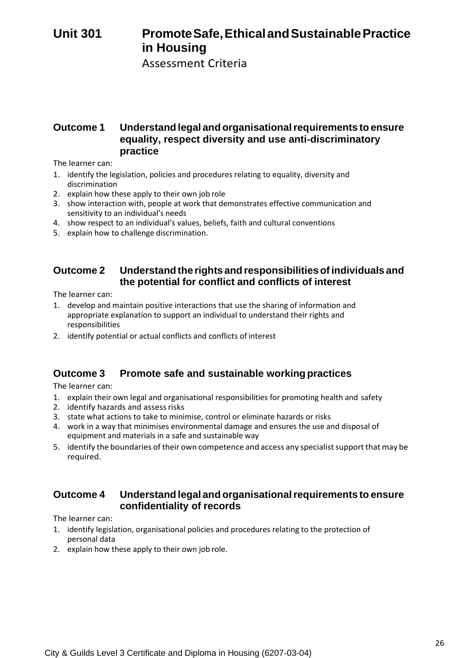## **Unit 301 PromoteSafe,EthicalandSustainablePractice in Housing**

Assessment Criteria

### **Outcome 1 Understand legal and organisationalrequirements to ensure equality, respect diversity and use anti-discriminatory practice**

The learner can:

- 1. identify the legislation, policies and procedures relating to equality, diversity and discrimination
- 2. explain how these apply to their own job role
- 3. show interaction with, people at work that demonstrates effective communication and sensitivity to an individual's needs
- 4. show respect to an individual's values, beliefs, faith and cultural conventions
- 5. explain how to challenge discrimination.

### **Outcome 2 Understandthe rights and responsibilitiesofindividuals and the potential for conflict and conflicts of interest**

The learner can:

- 1. develop and maintain positive interactions that use the sharing of information and appropriate explanation to support an individual to understand their rights and responsibilities
- 2. identify potential or actual conflicts and conflicts of interest

### **Outcome 3 Promote safe and sustainable working practices**

The learner can:

- 1. explain their own legal and organisational responsibilities for promoting health and safety
- 2. identify hazards and assess risks
- 3. state what actions to take to minimise, control or eliminate hazards or risks
- 4. work in a way that minimises environmental damage and ensures the use and disposal of equipment and materials in a safe and sustainable way
- 5. identify the boundaries of their own competence and access any specialist support that may be required.

### **Outcome 4 Understand legal and organisationalrequirements to ensure confidentiality of records**

- 1. identify legislation, organisational policies and procedures relating to the protection of personal data
- 2. explain how these apply to their own job role.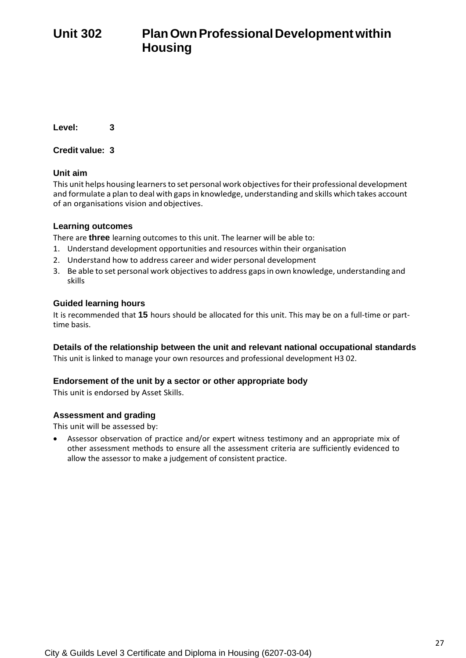**Credit value: 3**

### **Unit aim**

This unit helps housing learners to set personal work objectives for their professional development and formulate a plan to deal with gapsin knowledge, understanding and skills which takes account of an organisations vision andobjectives.

### **Learning outcomes**

There are **three** learning outcomes to this unit. The learner will be able to:

- 1. Understand development opportunities and resources within their organisation
- 2. Understand how to address career and wider personal development
- 3. Be able to set personal work objectives to address gaps in own knowledge, understanding and skills

### **Guided learning hours**

It is recommended that **15** hours should be allocated for this unit. This may be on a full-time or parttime basis.

### **Details of the relationship between the unit and relevant national occupational standards**

This unit is linked to manage your own resources and professional development H3 02.

### **Endorsement of the unit by a sector or other appropriate body**

This unit is endorsed by Asset Skills.

### **Assessment and grading**

This unit will be assessed by: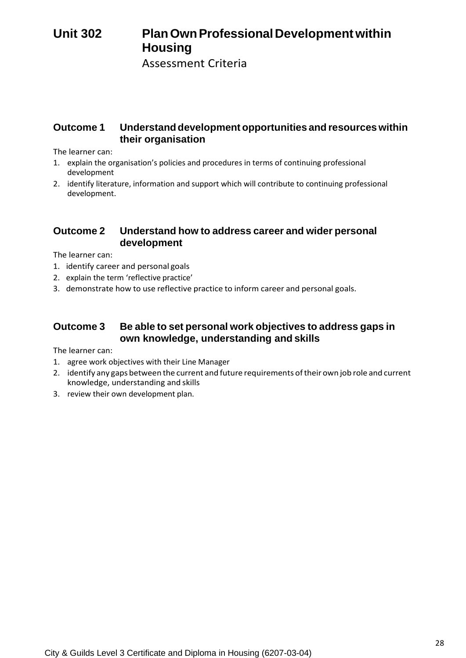## **Unit 302 PlanOwnProfessionalDevelopmentwithin Housing**

Assessment Criteria

### **Outcome 1 Understanddevelopment opportunities and resources within their organisation**

The learner can:

- 1. explain the organisation's policies and procedures in terms of continuing professional development
- 2. identify literature, information and support which will contribute to continuing professional development.

### **Outcome 2 Understand how to address career and wider personal development**

The learner can:

- 1. identify career and personal goals
- 2. explain the term 'reflective practice'
- 3. demonstrate how to use reflective practice to inform career and personal goals.

### **Outcome 3 Be able to set personal work objectives to address gaps in own knowledge, understanding and skills**

- 1. agree work objectives with their Line Manager
- 2. identify any gaps between the current and future requirements oftheir own job role and current knowledge, understanding and skills
- 3. review their own development plan.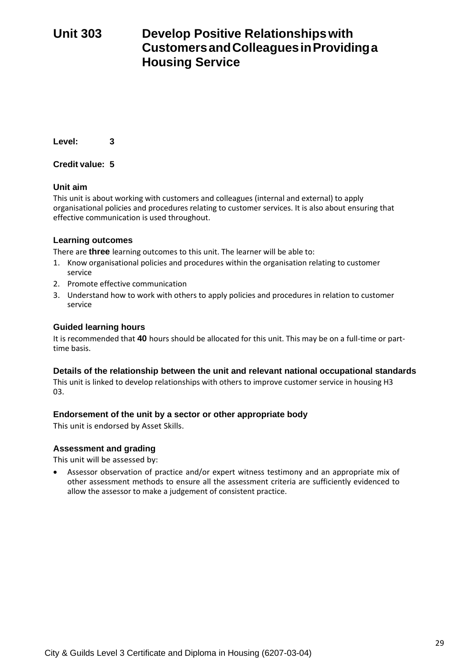## **Unit 303 Develop Positive Relationshipswith CustomersandColleaguesinProvidinga Housing Service**

**Level: 3**

**Credit value: 5**

### **Unit aim**

This unit is about working with customers and colleagues (internal and external) to apply organisational policies and procedures relating to customer services. It is also about ensuring that effective communication is used throughout.

### **Learning outcomes**

There are **three** learning outcomes to this unit. The learner will be able to:

- 1. Know organisational policies and procedures within the organisation relating to customer service
- 2. Promote effective communication
- 3. Understand how to work with others to apply policies and procedures in relation to customer service

### **Guided learning hours**

It is recommended that **40** hours should be allocated for this unit. This may be on a full-time or parttime basis.

### **Details of the relationship between the unit and relevant national occupational standards**

This unit is linked to develop relationships with others to improve customer service in housing H3 03.

### **Endorsement of the unit by a sector or other appropriate body**

This unit is endorsed by Asset Skills.

### **Assessment and grading**

This unit will be assessed by: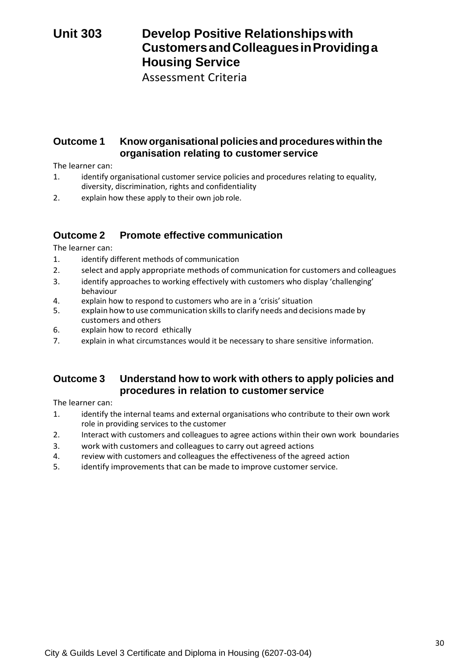## **Unit 303 Develop Positive Relationshipswith CustomersandColleaguesinProvidinga Housing Service**

Assessment Criteria

### **Outcome 1 Know organisational policies and procedures within the organisation relating to customer service**

The learner can:

- 1. identify organisational customer service policies and procedures relating to equality, diversity, discrimination, rights and confidentiality
- 2. explain how these apply to their own job role.

### **Outcome 2 Promote effective communication**

The learner can:

- 1. identify different methods of communication
- 2. select and apply appropriate methods of communication for customers and colleagues
- 3. identify approaches to working effectively with customers who display 'challenging' behaviour
- 4. explain how to respond to customers who are in a 'crisis' situation
- 5. explain how to use communication skillsto clarify needs and decisions made by customers and others
- 6. explain how to record ethically
- 7. explain in what circumstances would it be necessary to share sensitive information.

### **Outcome 3 Understand how to work with others to apply policies and procedures in relation to customer service**

- 1. identify the internal teams and external organisations who contribute to their own work role in providing services to the customer
- 2. Interact with customers and colleagues to agree actions within their own work boundaries
- 3. work with customers and colleagues to carry out agreed actions
- 4. review with customers and colleagues the effectiveness of the agreed action
- 5. identify improvements that can be made to improve customer service.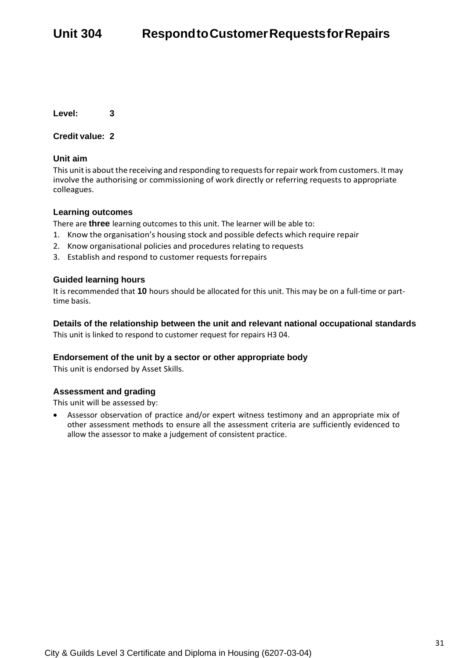### **Credit value: 2**

### **Unit aim**

This unit is about the receiving and responding to requests for repair work from customers. It may involve the authorising or commissioning of work directly or referring requests to appropriate colleagues.

### **Learning outcomes**

There are **three** learning outcomes to this unit. The learner will be able to:

- 1. Know the organisation's housing stock and possible defects which require repair
- 2. Know organisational policies and procedures relating to requests
- 3. Establish and respond to customer requests forrepairs

### **Guided learning hours**

It is recommended that **10** hours should be allocated for this unit. This may be on a full-time or parttime basis.

## **Details of the relationship between the unit and relevant national occupational standards**

This unit is linked to respond to customer request for repairs H3 04.

### **Endorsement of the unit by a sector or other appropriate body**

This unit is endorsed by Asset Skills.

### **Assessment and grading**

This unit will be assessed by: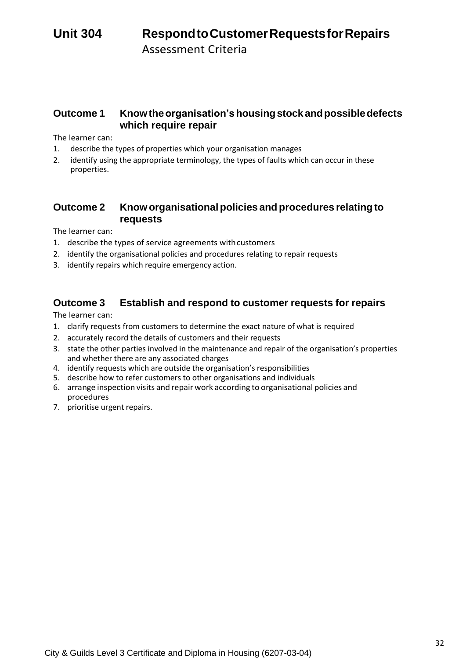### **Outcome 1 Knowtheorganisation'shousingstockandpossibledefects which require repair**

The learner can:

- 1. describe the types of properties which your organisation manages
- 2. identify using the appropriate terminology, the types of faults which can occur in these properties.

### **Outcome 2 Knoworganisationalpolicies and procedures relatingto requests**

The learner can:

- 1. describe the types of service agreements withcustomers
- 2. identify the organisational policies and procedures relating to repair requests
- 3. identify repairs which require emergency action.

## **Outcome 3 Establish and respond to customer requests for repairs**

- 1. clarify requests from customers to determine the exact nature of what is required
- 2. accurately record the details of customers and their requests
- 3. state the other parties involved in the maintenance and repair of the organisation's properties and whether there are any associated charges
- 4. identify requests which are outside the organisation's responsibilities
- 5. describe how to refer customers to other organisations and individuals
- 6. arrange inspection visits and repair work according to organisational policies and procedures
- 7. prioritise urgent repairs.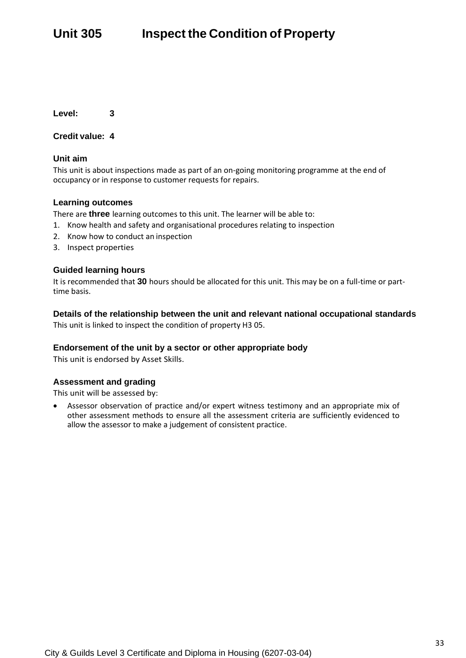### **Credit value: 4**

### **Unit aim**

This unit is about inspections made as part of an on-going monitoring programme at the end of occupancy or in response to customer requests for repairs.

### **Learning outcomes**

There are **three** learning outcomes to this unit. The learner will be able to:

- 1. Know health and safety and organisational procedures relating to inspection
- 2. Know how to conduct an inspection
- 3. Inspect properties

### **Guided learning hours**

It is recommended that **30** hours should be allocated for this unit. This may be on a full-time or parttime basis.

### **Details of the relationship between the unit and relevant national occupational standards**

This unit is linked to inspect the condition of property H3 05.

### **Endorsement of the unit by a sector or other appropriate body**

This unit is endorsed by Asset Skills.

### **Assessment and grading**

This unit will be assessed by: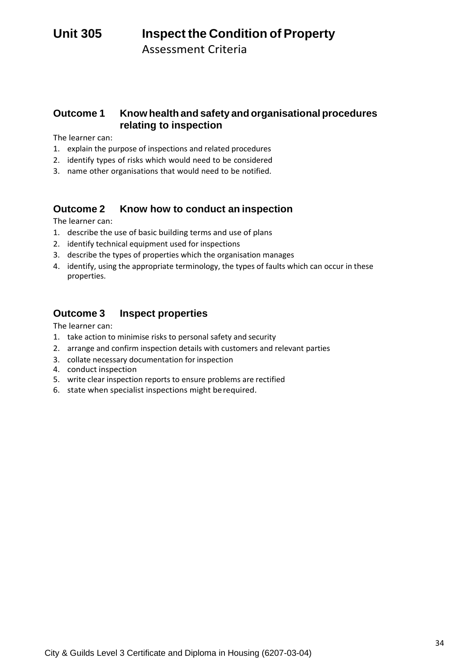Assessment Criteria

### **Outcome 1 Know health and safety and organisational procedures relating to inspection**

The learner can:

- 1. explain the purpose of inspections and related procedures
- 2. identify types of risks which would need to be considered
- 3. name other organisations that would need to be notified.

### **Outcome 2 Know how to conduct an inspection**

The learner can:

- 1. describe the use of basic building terms and use of plans
- 2. identify technical equipment used for inspections
- 3. describe the types of properties which the organisation manages
- 4. identify, using the appropriate terminology, the types of faults which can occur in these properties.

### **Outcome 3 Inspect properties**

- 1. take action to minimise risks to personal safety and security
- 2. arrange and confirm inspection details with customers and relevant parties
- 3. collate necessary documentation for inspection
- 4. conduct inspection
- 5. write clear inspection reports to ensure problems are rectified
- 6. state when specialist inspections might berequired.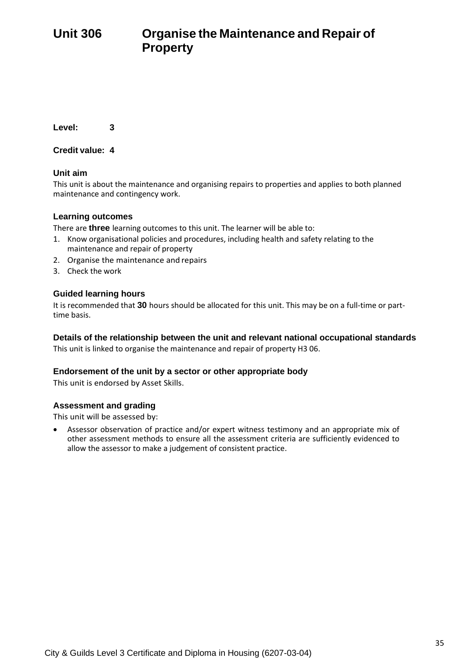**Credit value: 4**

### **Unit aim**

This unit is about the maintenance and organising repairs to properties and applies to both planned maintenance and contingency work.

### **Learning outcomes**

There are **three** learning outcomes to this unit. The learner will be able to:

- 1. Know organisational policies and procedures, including health and safety relating to the maintenance and repair of property
- 2. Organise the maintenance and repairs
- 3. Check the work

### **Guided learning hours**

It is recommended that **30** hours should be allocated for this unit. This may be on a full-time or parttime basis.

### **Details of the relationship between the unit and relevant national occupational standards**

This unit is linked to organise the maintenance and repair of property H3 06.

### **Endorsement of the unit by a sector or other appropriate body**

This unit is endorsed by Asset Skills.

### **Assessment and grading**

This unit will be assessed by: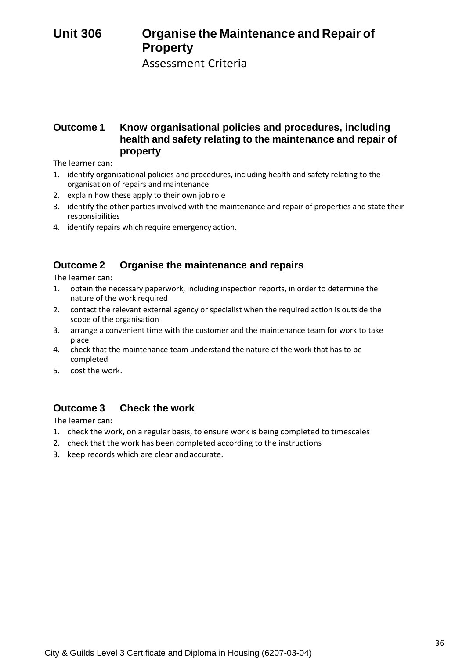## **Unit 306 Organise the Maintenance and Repair of Property**

Assessment Criteria

### **Outcome 1 Know organisational policies and procedures, including health and safety relating to the maintenance and repair of property**

The learner can:

- 1. identify organisational policies and procedures, including health and safety relating to the organisation of repairs and maintenance
- 2. explain how these apply to their own job role
- 3. identify the other parties involved with the maintenance and repair of properties and state their responsibilities
- 4. identify repairs which require emergency action.

### **Outcome 2 Organise the maintenance and repairs**

The learner can:

- 1. obtain the necessary paperwork, including inspection reports, in order to determine the nature of the work required
- 2. contact the relevant external agency or specialist when the required action is outside the scope of the organisation
- 3. arrange a convenient time with the customer and the maintenance team for work to take place
- 4. check that the maintenance team understand the nature of the work that has to be completed
- 5. cost the work.

### **Outcome 3 Check the work**

- 1. check the work, on a regular basis, to ensure work is being completed to timescales
- 2. check that the work has been completed according to the instructions
- 3. keep records which are clear andaccurate.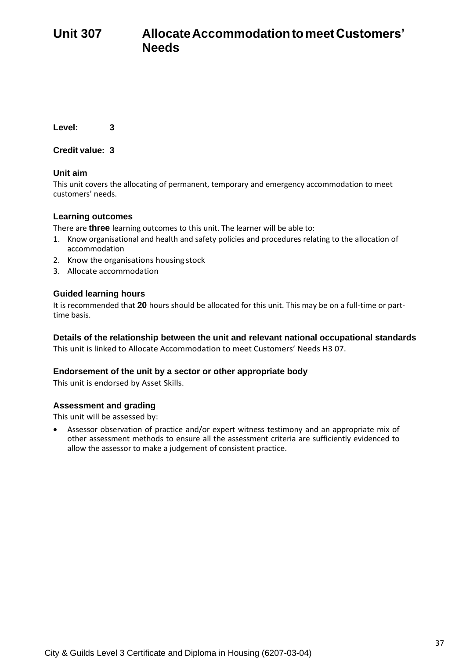**Unit 307 AllocateAccommodationtomeetCustomers' Needs**

**Level: 3**

**Credit value: 3**

## **Unit aim**

This unit covers the allocating of permanent, temporary and emergency accommodation to meet customers' needs.

## **Learning outcomes**

There are **three** learning outcomes to this unit. The learner will be able to:

- 1. Know organisational and health and safety policies and procedures relating to the allocation of accommodation
- 2. Know the organisations housing stock
- 3. Allocate accommodation

## **Guided learning hours**

It is recommended that **20** hours should be allocated for this unit. This may be on a full-time or parttime basis.

## **Details of the relationship between the unit and relevant national occupational standards**

This unit is linked to Allocate Accommodation to meet Customers' Needs H3 07.

#### **Endorsement of the unit by a sector or other appropriate body**

This unit is endorsed by Asset Skills.

#### **Assessment and grading**

This unit will be assessed by: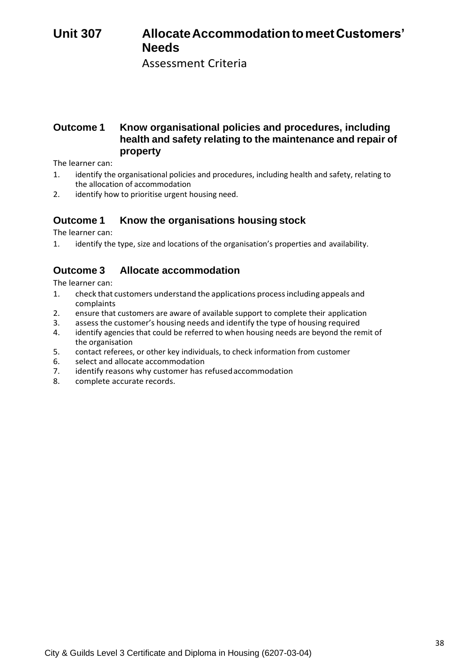# **Unit 307 AllocateAccommodationtomeetCustomers' Needs**

Assessment Criteria

## **Outcome 1 Know organisational policies and procedures, including health and safety relating to the maintenance and repair of property**

The learner can:

- 1. identify the organisational policies and procedures, including health and safety, relating to the allocation of accommodation
- 2. identify how to prioritise urgent housing need.

## **Outcome 1 Know the organisations housing stock**

The learner can:

1. identify the type, size and locations of the organisation's properties and availability.

## **Outcome 3 Allocate accommodation**

- 1. check that customers understand the applications processincluding appeals and complaints
- 2. ensure that customers are aware of available support to complete their application
- 3. assess the customer's housing needs and identify the type of housing required<br>4. identify agencies that could be referred to when housing needs are beyond the re-
- identify agencies that could be referred to when housing needs are beyond the remit of the organisation
- 5. contact referees, or other key individuals, to check information from customer
- 6. select and allocate accommodation<br>7. identify reasons why customer has
- identify reasons why customer has refused accommodation
- 8. complete accurate records.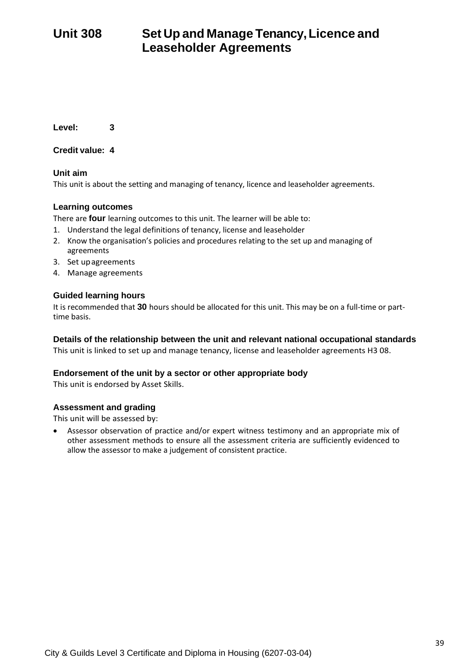# **Unit 308 Set Up and Manage Tenancy,Licence and Leaseholder Agreements**

**Level: 3**

**Credit value: 4**

## **Unit aim**

This unit is about the setting and managing of tenancy, licence and leaseholder agreements.

## **Learning outcomes**

There are **four** learning outcomes to this unit. The learner will be able to:

- 1. Understand the legal definitions of tenancy, license and leaseholder
- 2. Know the organisation's policies and procedures relating to the set up and managing of agreements
- 3. Set upagreements
- 4. Manage agreements

## **Guided learning hours**

It is recommended that **30** hours should be allocated for this unit. This may be on a full-time or parttime basis.

## **Details of the relationship between the unit and relevant national occupational standards**

This unit is linked to set up and manage tenancy, license and leaseholder agreements H3 08.

#### **Endorsement of the unit by a sector or other appropriate body**

This unit is endorsed by Asset Skills.

## **Assessment and grading**

This unit will be assessed by: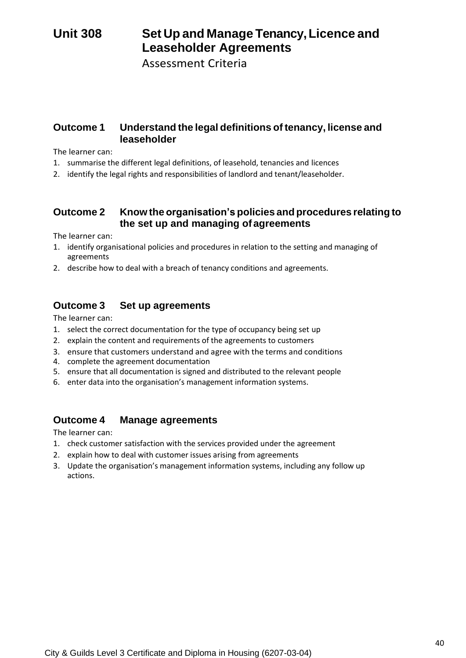# **Unit 308 Set Up and Manage Tenancy,Licence and Leaseholder Agreements**

Assessment Criteria

## **Outcome 1 Understand the legal definitions of tenancy, license and leaseholder**

The learner can:

- 1. summarise the different legal definitions, of leasehold, tenancies and licences
- 2. identify the legal rights and responsibilities of landlord and tenant/leaseholder.

## **Outcome 2 Know the organisation's policies and procedures relating to the set up and managing of agreements**

The learner can:

- 1. identify organisational policies and procedures in relation to the setting and managing of agreements
- 2. describe how to deal with a breach of tenancy conditions and agreements.

## **Outcome 3 Set up agreements**

The learner can:

- 1. select the correct documentation for the type of occupancy being set up
- 2. explain the content and requirements of the agreements to customers
- 3. ensure that customers understand and agree with the terms and conditions
- 4. complete the agreement documentation
- 5. ensure that all documentation is signed and distributed to the relevant people
- 6. enter data into the organisation's management information systems.

## **Outcome 4 Manage agreements**

- 1. check customer satisfaction with the services provided under the agreement
- 2. explain how to deal with customer issues arising from agreements
- 3. Update the organisation's management information systems, including any follow up actions.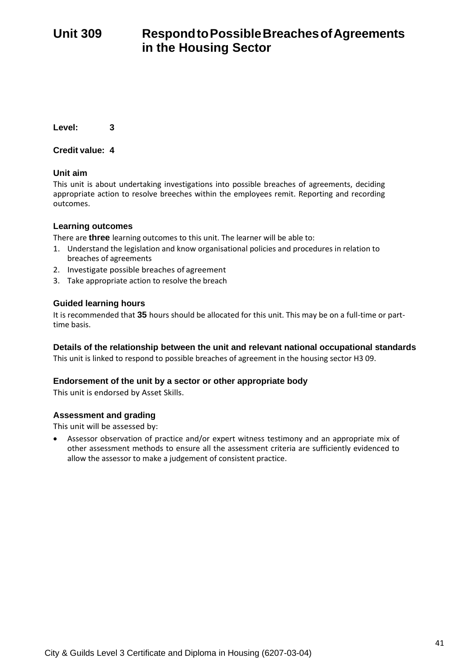# **Unit 309 RespondtoPossibleBreachesofAgreements in the Housing Sector**

**Level: 3**

**Credit value: 4**

## **Unit aim**

This unit is about undertaking investigations into possible breaches of agreements, deciding appropriate action to resolve breeches within the employees remit. Reporting and recording outcomes.

## **Learning outcomes**

There are **three** learning outcomes to this unit. The learner will be able to:

- 1. Understand the legislation and know organisational policies and procedures in relation to breaches of agreements
- 2. Investigate possible breaches of agreement
- 3. Take appropriate action to resolve the breach

## **Guided learning hours**

It is recommended that **35** hours should be allocated for this unit. This may be on a full-time or parttime basis.

#### **Details of the relationship between the unit and relevant national occupational standards**

This unit is linked to respond to possible breaches of agreement in the housing sector H3 09.

## **Endorsement of the unit by a sector or other appropriate body**

This unit is endorsed by Asset Skills.

#### **Assessment and grading**

This unit will be assessed by: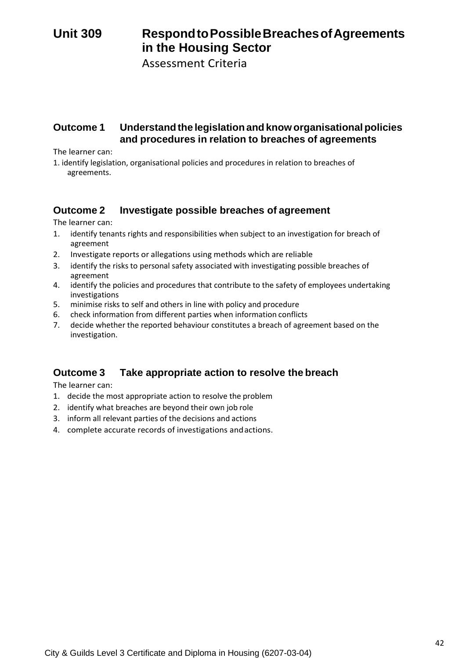# **Unit 309 RespondtoPossibleBreachesofAgreements in the Housing Sector**

Assessment Criteria

## **Outcome 1 Understandthe legislationandknoworganisationalpolicies and procedures in relation to breaches of agreements**

The learner can:

1. identify legislation, organisational policies and procedures in relation to breaches of agreements.

## **Outcome 2 Investigate possible breaches of agreement**

The learner can:

- 1. identify tenants rights and responsibilities when subject to an investigation for breach of agreement
- 2. Investigate reports or allegations using methods which are reliable
- 3. identify the risks to personal safety associated with investigating possible breaches of agreement
- 4. identify the policies and procedures that contribute to the safety of employees undertaking investigations
- 5. minimise risks to self and others in line with policy and procedure
- 6. check information from different parties when information conflicts
- 7. decide whether the reported behaviour constitutes a breach of agreement based on the investigation.

## **Outcome 3 Take appropriate action to resolve the breach**

- 1. decide the most appropriate action to resolve the problem
- 2. identify what breaches are beyond their own job role
- 3. inform all relevant parties of the decisions and actions
- 4. complete accurate records of investigations andactions.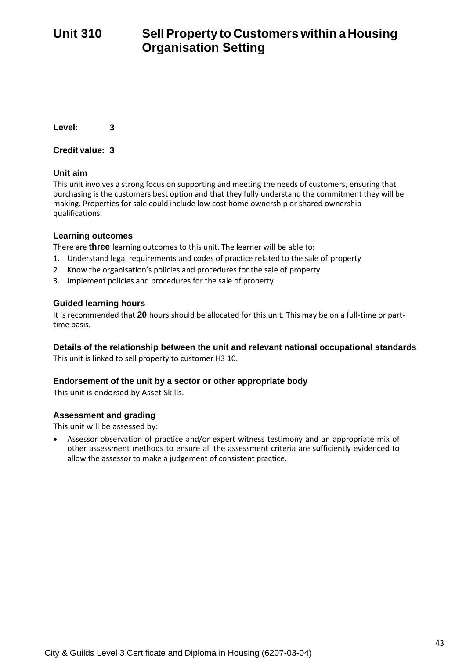# **Unit 310 SellProperty to Customers within a Housing Organisation Setting**

**Level: 3**

**Credit value: 3**

## **Unit aim**

This unit involves a strong focus on supporting and meeting the needs of customers, ensuring that purchasing is the customers best option and that they fully understand the commitment they will be making. Properties for sale could include low cost home ownership or shared ownership qualifications.

## **Learning outcomes**

There are **three** learning outcomes to this unit. The learner will be able to:

- 1. Understand legal requirements and codes of practice related to the sale of property
- 2. Know the organisation's policies and procedures for the sale of property
- 3. Implement policies and procedures for the sale of property

## **Guided learning hours**

It is recommended that **20** hours should be allocated for this unit. This may be on a full-time or parttime basis.

## **Details of the relationship between the unit and relevant national occupational standards**

This unit is linked to sell property to customer H3 10.

## **Endorsement of the unit by a sector or other appropriate body**

This unit is endorsed by Asset Skills.

## **Assessment and grading**

This unit will be assessed by: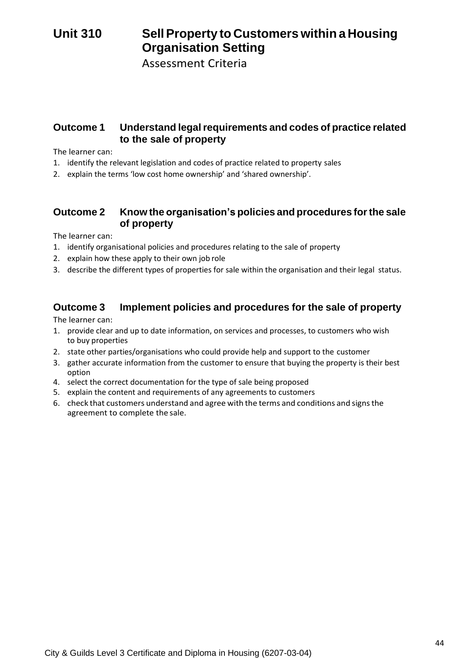# **Unit 310 SellProperty to Customers within a Housing Organisation Setting**

Assessment Criteria

## **Outcome 1 Understand legalrequirements and codes of practice related to the sale of property**

The learner can:

- 1. identify the relevant legislation and codes of practice related to property sales
- 2. explain the terms 'low cost home ownership' and 'shared ownership'.

## **Outcome 2 Know the organisation's policies and procedures forthe sale of property**

The learner can:

- 1. identify organisational policies and procedures relating to the sale of property
- 2. explain how these apply to their own job role
- 3. describe the different types of properties for sale within the organisation and their legal status.

## **Outcome 3 Implement policies and procedures for the sale of property**

- 1. provide clear and up to date information, on services and processes, to customers who wish to buy properties
- 2. state other parties/organisations who could provide help and support to the customer
- 3. gather accurate information from the customer to ensure that buying the property is their best option
- 4. select the correct documentation for the type of sale being proposed
- 5. explain the content and requirements of any agreements to customers
- 6. check that customers understand and agree with the terms and conditions and signsthe agreement to complete the sale.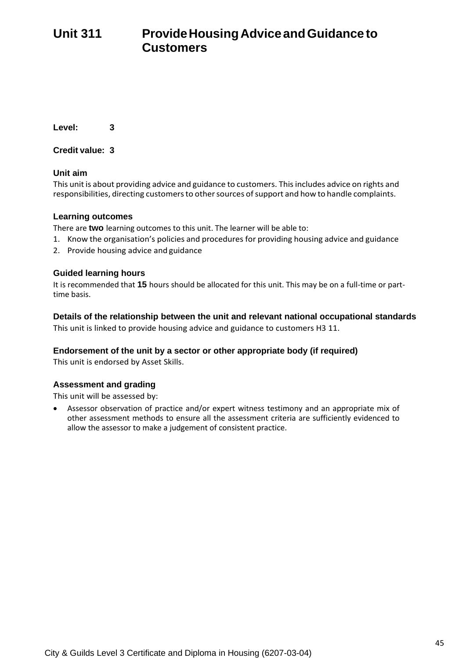# **Unit 311 ProvideHousingAdviceandGuidance to Customers**

**Level: 3**

**Credit value: 3**

## **Unit aim**

This unit is about providing advice and guidance to customers. Thisincludes advice on rights and responsibilities, directing customers to other sources of support and how to handle complaints.

## **Learning outcomes**

There are **two** learning outcomes to this unit. The learner will be able to:

- 1. Know the organisation's policies and procedures for providing housing advice and guidance
- 2. Provide housing advice and guidance

## **Guided learning hours**

It is recommended that **15** hours should be allocated for this unit. This may be on a full-time or parttime basis.

**Details of the relationship between the unit and relevant national occupational standards** This unit is linked to provide housing advice and guidance to customers H3 11.

## **Endorsement of the unit by a sector or other appropriate body (if required)**

This unit is endorsed by Asset Skills.

## **Assessment and grading**

This unit will be assessed by: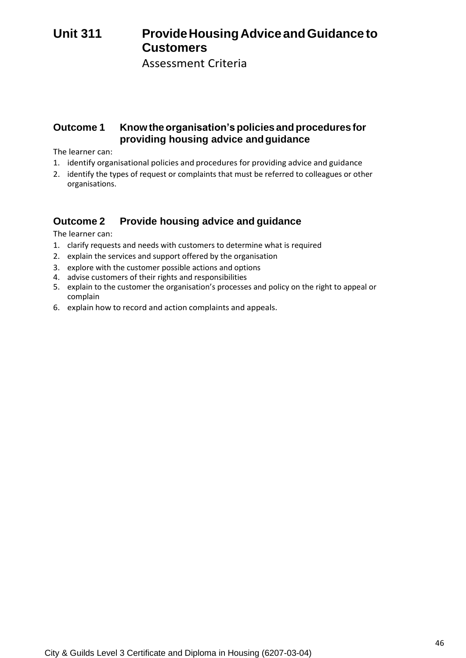# **Unit 311 ProvideHousingAdviceandGuidance to Customers**

Assessment Criteria

## **Outcome 1 Knowtheorganisation's policies andprocedures for providing housing advice andguidance**

The learner can:

- 1. identify organisational policies and procedures for providing advice and guidance
- 2. identify the types of request or complaints that must be referred to colleagues or other organisations.

## **Outcome 2 Provide housing advice and guidance**

- 1. clarify requests and needs with customers to determine what is required
- 2. explain the services and support offered by the organisation
- 3. explore with the customer possible actions and options
- 4. advise customers of their rights and responsibilities
- 5. explain to the customer the organisation's processes and policy on the right to appeal or complain
- 6. explain how to record and action complaints and appeals.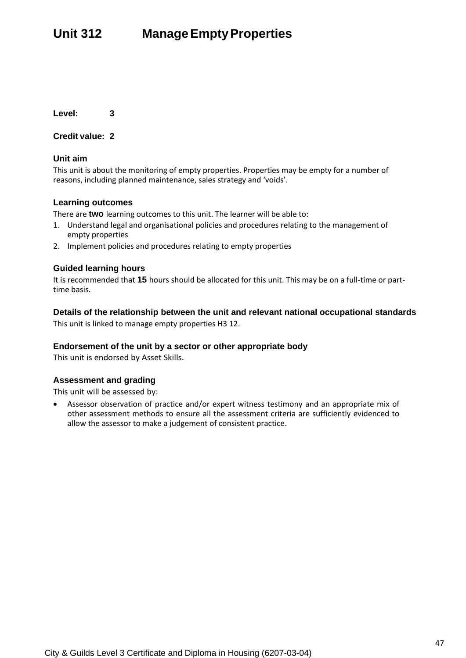# **Unit 312 ManageEmptyProperties**

**Level: 3**

#### **Credit value: 2**

## **Unit aim**

This unit is about the monitoring of empty properties. Properties may be empty for a number of reasons, including planned maintenance, sales strategy and 'voids'.

## **Learning outcomes**

There are **two** learning outcomes to this unit. The learner will be able to:

- 1. Understand legal and organisational policies and procedures relating to the management of empty properties
- 2. Implement policies and procedures relating to empty properties

## **Guided learning hours**

It is recommended that **15** hours should be allocated for this unit. This may be on a full-time or parttime basis.

## **Details of the relationship between the unit and relevant national occupational standards**

This unit is linked to manage empty properties H3 12.

#### **Endorsement of the unit by a sector or other appropriate body**

This unit is endorsed by Asset Skills.

#### **Assessment and grading**

This unit will be assessed by: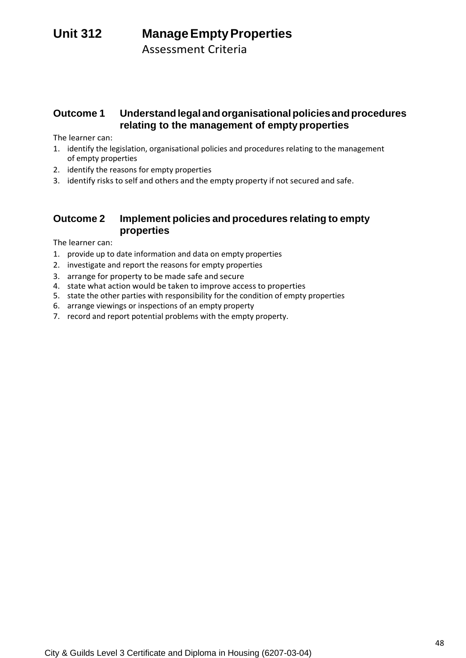# **Unit 312 ManageEmptyProperties**

Assessment Criteria

## **Outcome 1 Understandlegalandorganisationalpoliciesandprocedures relating to the management of empty properties**

The learner can:

- 1. identify the legislation, organisational policies and procedures relating to the management of empty properties
- 2. identify the reasons for empty properties
- 3. identify risks to self and others and the empty property if not secured and safe.

## **Outcome 2 Implement policies and procedures relating to empty properties**

- 1. provide up to date information and data on empty properties
- 2. investigate and report the reasons for empty properties
- 3. arrange for property to be made safe and secure
- 4. state what action would be taken to improve access to properties
- 5. state the other parties with responsibility for the condition of empty properties
- 6. arrange viewings or inspections of an empty property
- 7. record and report potential problems with the empty property.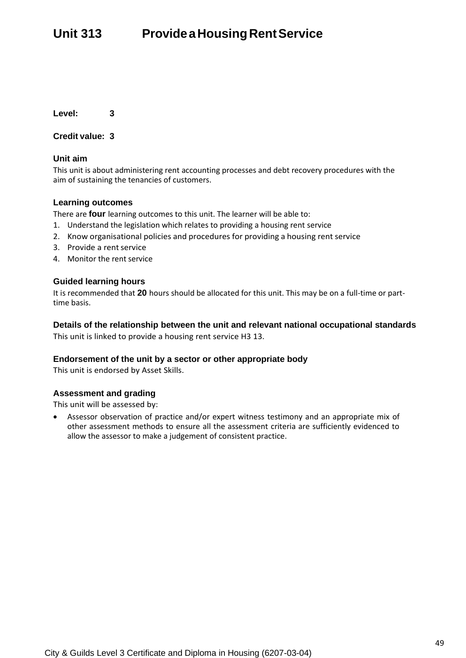# **Unit 313 ProvideaHousingRentService**

**Level: 3**

#### **Credit value: 3**

#### **Unit aim**

This unit is about administering rent accounting processes and debt recovery procedures with the aim of sustaining the tenancies of customers.

#### **Learning outcomes**

There are **four** learning outcomes to this unit. The learner will be able to:

- 1. Understand the legislation which relates to providing a housing rent service
- 2. Know organisational policies and procedures for providing a housing rent service
- 3. Provide a rent service
- 4. Monitor the rent service

#### **Guided learning hours**

It is recommended that **20** hours should be allocated for this unit. This may be on a full-time or parttime basis.

**Details of the relationship between the unit and relevant national occupational standards** This unit is linked to provide a housing rent service H3 13.

#### **Endorsement of the unit by a sector or other appropriate body**

This unit is endorsed by Asset Skills.

#### **Assessment and grading**

This unit will be assessed by: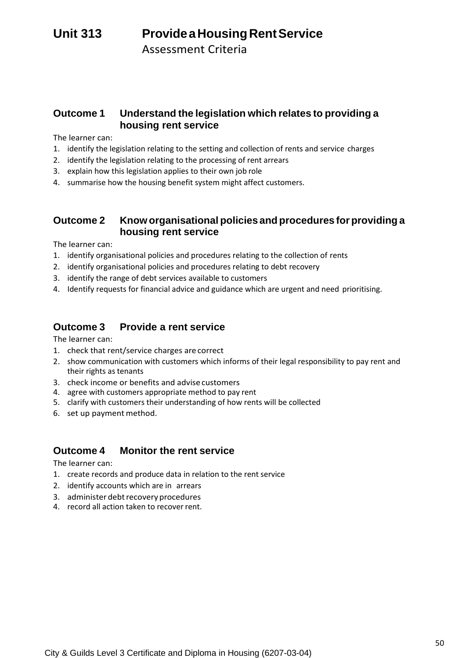# **Unit 313 ProvideaHousingRentService**

Assessment Criteria

## **Outcome 1 Understand the legislation which relates to providing a housing rent service**

The learner can:

- 1. identify the legislation relating to the setting and collection of rents and service charges
- 2. identify the legislation relating to the processing of rent arrears
- 3. explain how this legislation applies to their own job role
- 4. summarise how the housing benefit system might affect customers.

## **Outcome 2 Knoworganisational policies and procedures for providing a housing rent service**

The learner can:

- 1. identify organisational policies and procedures relating to the collection of rents
- 2. identify organisational policies and procedures relating to debt recovery
- 3. identify the range of debt services available to customers
- 4. Identify requests for financial advice and guidance which are urgent and need prioritising.

## **Outcome 3 Provide a rent service**

The learner can:

- 1. check that rent/service charges are correct
- 2. show communication with customers which informs of their legal responsibility to pay rent and their rights as tenants
- 3. check income or benefits and advise customers
- 4. agree with customers appropriate method to pay rent
- 5. clarify with customers their understanding of how rents will be collected
- 6. set up payment method.

## **Outcome 4 Monitor the rent service**

- 1. create records and produce data in relation to the rent service
- 2. identify accounts which are in arrears
- 3. administer debt recovery procedures
- 4. record all action taken to recover rent.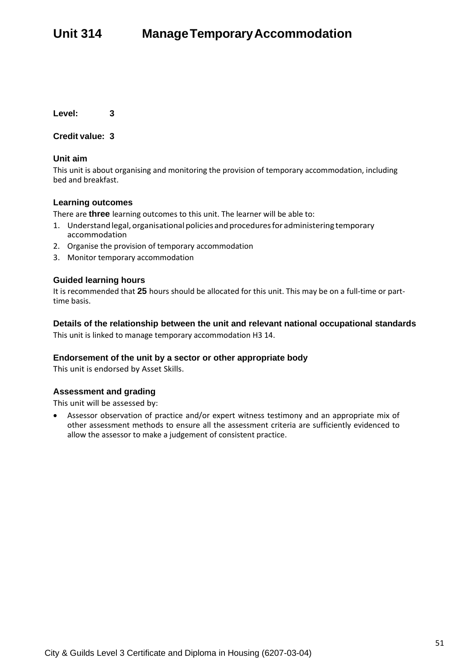# **Unit 314 ManageTemporaryAccommodation**

**Level: 3**

**Credit value: 3**

#### **Unit aim**

This unit is about organising and monitoring the provision of temporary accommodation, including bed and breakfast.

#### **Learning outcomes**

There are **three** learning outcomes to this unit. The learner will be able to:

- 1. Understand legal, organisational policies and procedures for administering temporary accommodation
- 2. Organise the provision of temporary accommodation
- 3. Monitor temporary accommodation

#### **Guided learning hours**

It is recommended that **25** hours should be allocated for this unit. This may be on a full-time or parttime basis.

#### **Details of the relationship between the unit and relevant national occupational standards**

This unit is linked to manage temporary accommodation H3 14.

#### **Endorsement of the unit by a sector or other appropriate body**

This unit is endorsed by Asset Skills.

#### **Assessment and grading**

This unit will be assessed by: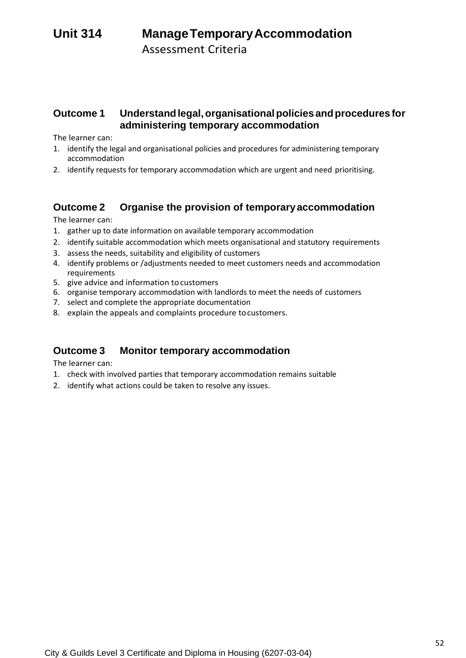# **Unit 314 ManageTemporaryAccommodation**

Assessment Criteria

## **Outcome 1 Understandlegal,organisationalpolicies andprocedures for administering temporary accommodation**

The learner can:

- 1. identify the legal and organisational policies and procedures for administering temporary accommodation
- 2. identify requests for temporary accommodation which are urgent and need prioritising.

## **Outcome 2 Organise the provision of temporaryaccommodation**

The learner can:

- 1. gather up to date information on available temporary accommodation
- 2. identify suitable accommodation which meets organisational and statutory requirements
- 3. assess the needs, suitability and eligibility of customers
- 4. identify problems or /adjustments needed to meet customers needs and accommodation requirements
- 5. give advice and information tocustomers
- 6. organise temporary accommodation with landlords to meet the needs of customers
- 7. select and complete the appropriate documentation
- 8. explain the appeals and complaints procedure tocustomers.

## **Outcome 3 Monitor temporary accommodation**

- 1. check with involved parties that temporary accommodation remains suitable
- 2. identify what actions could be taken to resolve any issues.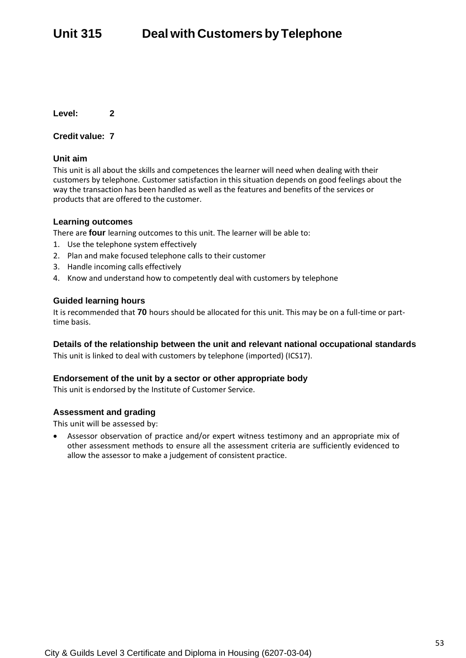**Level: 2**

#### **Credit value: 7**

#### **Unit aim**

This unit is all about the skills and competences the learner will need when dealing with their customers by telephone. Customer satisfaction in this situation depends on good feelings about the way the transaction has been handled as well as the features and benefits of the services or products that are offered to the customer.

#### **Learning outcomes**

There are **four** learning outcomes to this unit. The learner will be able to:

- 1. Use the telephone system effectively
- 2. Plan and make focused telephone calls to their customer
- 3. Handle incoming calls effectively
- 4. Know and understand how to competently deal with customers by telephone

#### **Guided learning hours**

It is recommended that **70** hours should be allocated for this unit. This may be on a full-time or parttime basis.

#### **Details of the relationship between the unit and relevant national occupational standards**

This unit is linked to deal with customers by telephone (imported) (ICS17).

#### **Endorsement of the unit by a sector or other appropriate body**

This unit is endorsed by the Institute of Customer Service.

#### **Assessment and grading**

This unit will be assessed by: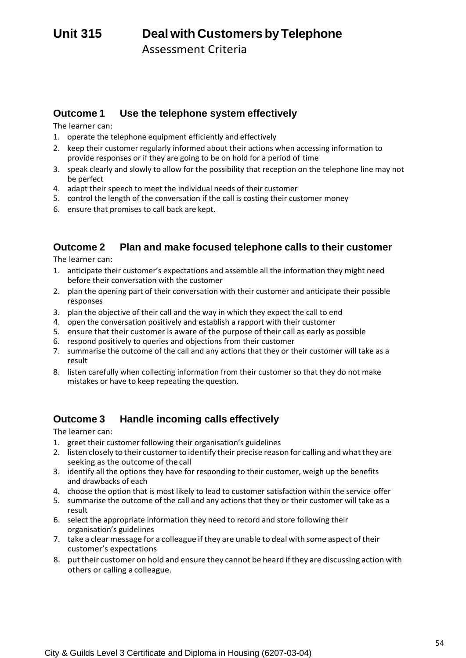## **Outcome 1 Use the telephone system effectively**

The learner can:

- 1. operate the telephone equipment efficiently and effectively
- 2. keep their customer regularly informed about their actions when accessing information to provide responses or if they are going to be on hold for a period of time
- 3. speak clearly and slowly to allow for the possibility that reception on the telephone line may not be perfect
- 4. adapt their speech to meet the individual needs of their customer
- 5. control the length of the conversation if the call is costing their customer money
- 6. ensure that promises to call back are kept.

## **Outcome 2 Plan and make focused telephone calls to their customer**

The learner can:

- 1. anticipate their customer's expectations and assemble all the information they might need before their conversation with the customer
- 2. plan the opening part of their conversation with their customer and anticipate their possible responses
- 3. plan the objective of their call and the way in which they expect the call to end
- 4. open the conversation positively and establish a rapport with their customer
- 5. ensure that their customer is aware of the purpose of their call as early as possible
- 6. respond positively to queries and objections from their customer
- 7. summarise the outcome of the call and any actions that they or their customer will take as a result
- 8. listen carefully when collecting information from their customer so that they do not make mistakes or have to keep repeating the question.

## **Outcome 3 Handle incoming calls effectively**

- 1. greet their customer following their organisation's guidelines
- 2. listen closely to their customerto identify their precise reason for calling and whatthey are seeking as the outcome of thecall
- 3. identify all the options they have for responding to their customer, weigh up the benefits and drawbacks of each
- 4. choose the option that is most likely to lead to customer satisfaction within the service offer
- 5. summarise the outcome of the call and any actions that they or their customer will take as a result
- 6. select the appropriate information they need to record and store following their organisation's guidelines
- 7. take a clear message for a colleague if they are unable to deal with some aspect of their customer's expectations
- 8. puttheir customer on hold and ensure they cannot be heard ifthey are discussing action with others or calling a colleague.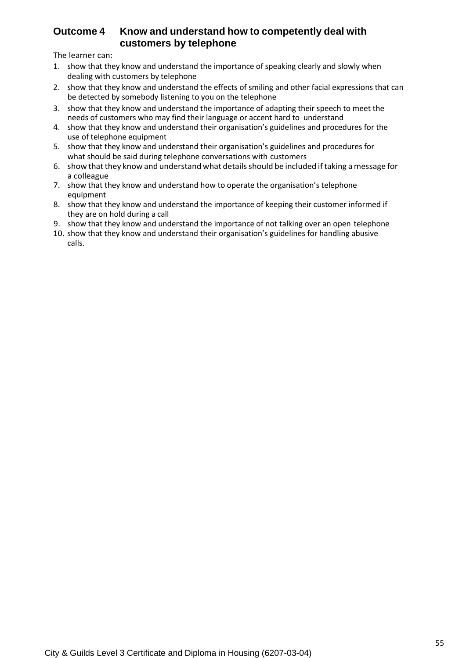## **Outcome 4 Know and understand how to competently deal with customers by telephone**

- 1. show that they know and understand the importance of speaking clearly and slowly when dealing with customers by telephone
- 2. show that they know and understand the effects of smiling and other facial expressions that can be detected by somebody listening to you on the telephone
- 3. show that they know and understand the importance of adapting their speech to meet the needs of customers who may find their language or accent hard to understand
- 4. show that they know and understand their organisation's guidelines and procedures for the use of telephone equipment
- 5. show that they know and understand their organisation's guidelines and procedures for what should be said during telephone conversations with customers
- 6. show that they know and understand what details should be included if taking a message for a colleague
- 7. show that they know and understand how to operate the organisation's telephone equipment
- 8. show that they know and understand the importance of keeping their customer informed if they are on hold during a call
- 9. show that they know and understand the importance of not talking over an open telephone
- 10. show that they know and understand their organisation's guidelines for handling abusive calls.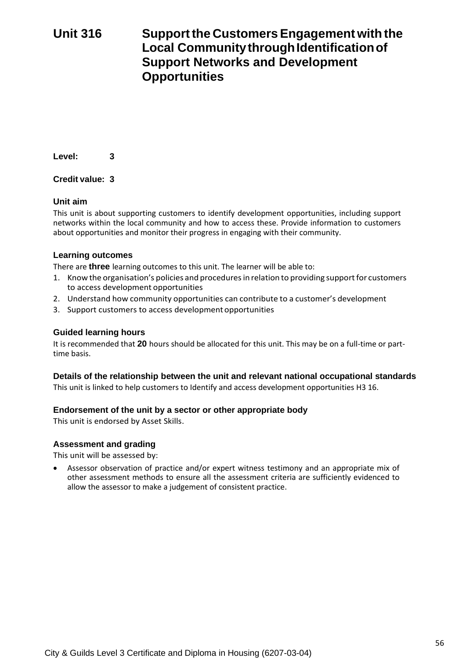# **Unit 316 Supportthe CustomersEngagement with the Local Community through Identification of Support Networks and Development Opportunities**

**Level: 3**

## **Credit value: 3**

## **Unit aim**

This unit is about supporting customers to identify development opportunities, including support networks within the local community and how to access these. Provide information to customers about opportunities and monitor their progress in engaging with their community.

## **Learning outcomes**

There are **three** learning outcomes to this unit. The learner will be able to:

- 1. Know the organisation's policies and procedures in relation to providing support for customers to access development opportunities
- 2. Understand how community opportunities can contribute to a customer's development
- 3. Support customers to access developmentopportunities

## **Guided learning hours**

It is recommended that **20** hours should be allocated for this unit. This may be on a full-time or parttime basis.

## **Details of the relationship between the unit and relevant national occupational standards**

This unit is linked to help customers to Identify and access development opportunities H3 16.

#### **Endorsement of the unit by a sector or other appropriate body**

This unit is endorsed by Asset Skills.

#### **Assessment and grading**

This unit will be assessed by: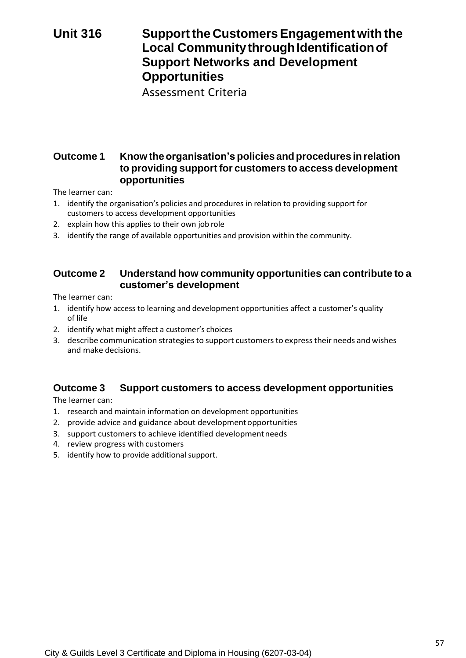# **Unit 316 Supportthe CustomersEngagement with the Local Community through Identification of Support Networks and Development Opportunities**

Assessment Criteria

## **Outcome 1 Know theorganisation's policies and procedures in relation to providing support for customers to access development opportunities**

The learner can:

- 1. identify the organisation's policies and procedures in relation to providing support for customers to access development opportunities
- 2. explain how this applies to their own job role
- 3. identify the range of available opportunities and provision within the community.

## **Outcome 2 Understand how community opportunities can contribute to a customer's development**

The learner can:

- 1. identify how access to learning and development opportunities affect a customer's quality of life
- 2. identify what might affect a customer's choices
- 3. describe communication strategiesto support customersto expresstheir needs and wishes and make decisions.

## **Outcome 3 Support customers to access development opportunities**

- 1. research and maintain information on development opportunities
- 2. provide advice and guidance about developmentopportunities
- 3. support customers to achieve identified developmentneeds
- 4. review progress with customers
- 5. identify how to provide additional support.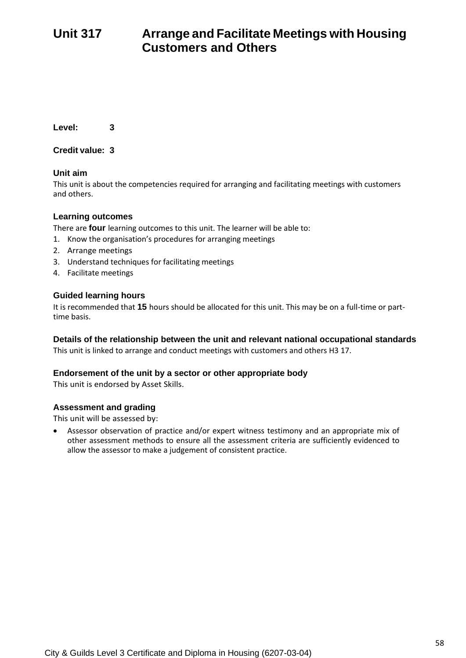# **Unit 317 Arrange and Facilitate Meetings with Housing Customers and Others**

**Level: 3**

**Credit value: 3**

## **Unit aim**

This unit is about the competencies required for arranging and facilitating meetings with customers and others.

## **Learning outcomes**

There are **four** learning outcomes to this unit. The learner will be able to:

- 1. Know the organisation's procedures for arranging meetings
- 2. Arrange meetings
- 3. Understand techniques for facilitating meetings
- 4. Facilitate meetings

## **Guided learning hours**

It is recommended that **15** hours should be allocated for this unit. This may be on a full-time or parttime basis.

## **Details of the relationship between the unit and relevant national occupational standards**

This unit is linked to arrange and conduct meetings with customers and others H3 17.

## **Endorsement of the unit by a sector or other appropriate body**

This unit is endorsed by Asset Skills.

## **Assessment and grading**

This unit will be assessed by: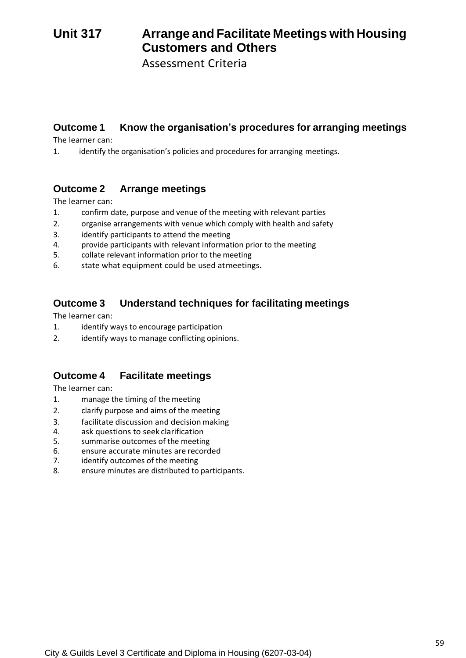# **Unit 317 Arrange and Facilitate Meetings with Housing Customers and Others**

Assessment Criteria

## **Outcome 1 Know the organisation's procedures for arranging meetings**

The learner can:

1. identify the organisation's policies and procedures for arranging meetings.

## **Outcome 2 Arrange meetings**

The learner can:

- 1. confirm date, purpose and venue of the meeting with relevant parties
- 2. organise arrangements with venue which comply with health and safety
- 3. identify participants to attend the meeting<br>4. orovide participants with relevant informat
- provide participants with relevant information prior to the meeting
- 5. collate relevant information prior to the meeting
- 6. state what equipment could be used atmeetings.

## **Outcome 3 Understand techniques for facilitating meetings**

The learner can:

- 1. identify ways to encourage participation
- 2. identify ways to manage conflicting opinions.

## **Outcome 4 Facilitate meetings**

- 1. manage the timing of the meeting
- 2. clarify purpose and aims of the meeting
- 3. facilitate discussion and decision making
- 4. ask questions to seek clarification
- 5. summarise outcomes of the meeting
- 6. ensure accurate minutes are recorded
- 7. identify outcomes of the meeting
- 8. ensure minutes are distributed to participants.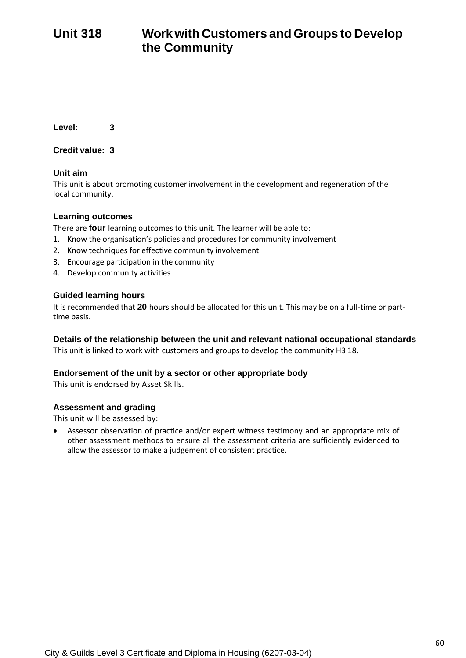# **Unit 318 Workwith Customers and Groups to Develop the Community**

**Level: 3**

**Credit value: 3**

## **Unit aim**

This unit is about promoting customer involvement in the development and regeneration of the local community.

## **Learning outcomes**

There are **four** learning outcomes to this unit. The learner will be able to:

- 1. Know the organisation's policies and procedures for community involvement
- 2. Know techniques for effective community involvement
- 3. Encourage participation in the community
- 4. Develop community activities

## **Guided learning hours**

It is recommended that **20** hours should be allocated for this unit. This may be on a full-time or parttime basis.

## **Details of the relationship between the unit and relevant national occupational standards**

This unit is linked to work with customers and groups to develop the community H3 18.

#### **Endorsement of the unit by a sector or other appropriate body**

This unit is endorsed by Asset Skills.

## **Assessment and grading**

This unit will be assessed by: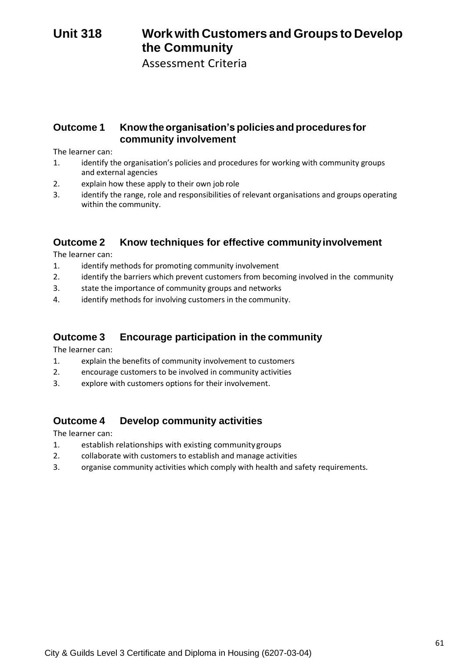# **Unit 318 Workwith Customers and Groups to Develop the Community**

Assessment Criteria

## **Outcome 1 Knowtheorganisation's policies andprocedures for community involvement**

The learner can:

- 1. identify the organisation's policies and procedures for working with community groups and external agencies
- 2. explain how these apply to their own job role
- 3. identify the range, role and responsibilities of relevant organisations and groups operating within the community.

## **Outcome 2 Know techniques for effective communityinvolvement**

The learner can:

- 1. identify methods for promoting community involvement
- 2. identify the barriers which prevent customers from becoming involved in the community
- 3. state the importance of community groups and networks
- 4. identify methods for involving customers in the community.

## **Outcome 3 Encourage participation in the community**

The learner can:

- 1. explain the benefits of community involvement to customers
- 2. encourage customers to be involved in community activities
- 3. explore with customers options for their involvement.

## **Outcome 4 Develop community activities**

- 1. establish relationships with existing communitygroups
- 2. collaborate with customers to establish and manage activities
- 3. organise community activities which comply with health and safety requirements.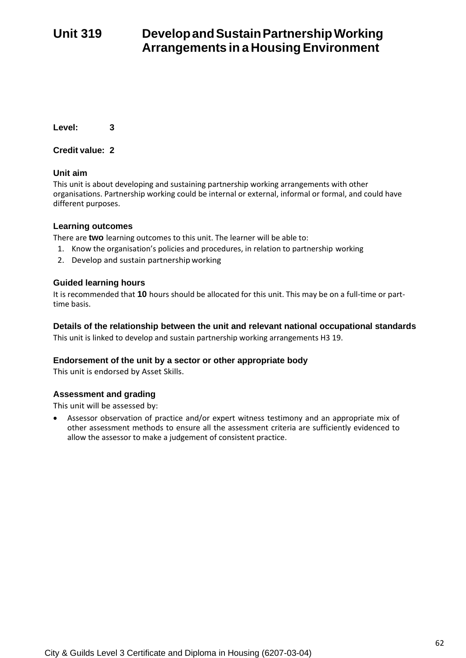# **Unit 319 DevelopandSustainPartnershipWorking Arrangements in a HousingEnvironment**

**Level: 3**

**Credit value: 2**

## **Unit aim**

This unit is about developing and sustaining partnership working arrangements with other organisations. Partnership working could be internal or external, informal or formal, and could have different purposes.

## **Learning outcomes**

There are **two** learning outcomes to this unit. The learner will be able to:

- 1. Know the organisation's policies and procedures, in relation to partnership working
- 2. Develop and sustain partnershipworking

## **Guided learning hours**

It is recommended that **10** hours should be allocated for this unit. This may be on a full-time or parttime basis.

#### **Details of the relationship between the unit and relevant national occupational standards**

This unit is linked to develop and sustain partnership working arrangements H3 19.

## **Endorsement of the unit by a sector or other appropriate body**

This unit is endorsed by Asset Skills.

## **Assessment and grading**

This unit will be assessed by: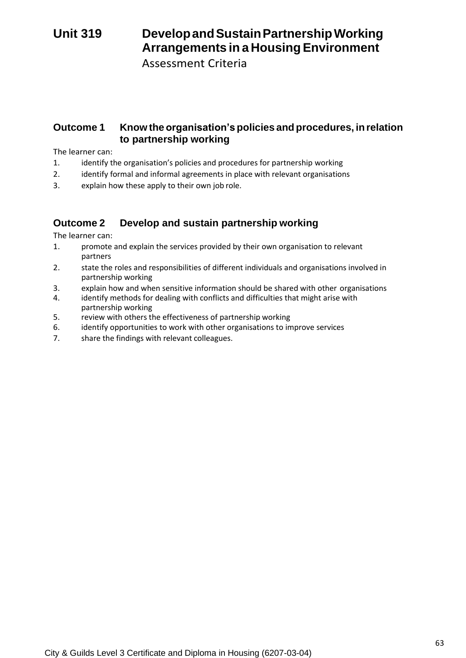# **Unit 319 DevelopandSustainPartnershipWorking Arrangements in a HousingEnvironment**

Assessment Criteria

## **Outcome 1 Know the organisation'spolicies and procedures, inrelation to partnership working**

The learner can:

- 1. identify the organisation's policies and procedures for partnership working
- 2. identify formal and informal agreements in place with relevant organisations
- 3. explain how these apply to their own job role.

## **Outcome 2 Develop and sustain partnership working**

- 1. promote and explain the services provided by their own organisation to relevant partners
- 2. state the roles and responsibilities of different individuals and organisations involved in partnership working
- 3. explain how and when sensitive information should be shared with other organisations
- 4. identify methods for dealing with conflicts and difficulties that might arise with partnership working
- 5. review with others the effectiveness of partnership working
- 6. identify opportunities to work with other organisations to improve services
- 7. share the findings with relevant colleagues.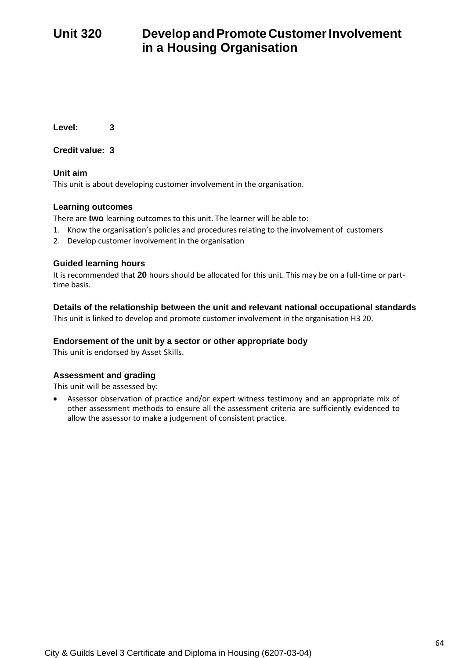**Level: 3**

**Credit value: 3**

**Unit aim** This unit is about developing customer involvement in the organisation.

## **Learning outcomes**

There are **two** learning outcomes to this unit. The learner will be able to:

- 1. Know the organisation's policies and procedures relating to the involvement of customers
- 2. Develop customer involvement in the organisation

## **Guided learning hours**

It is recommended that **20** hours should be allocated for this unit. This may be on a full-time or parttime basis.

## **Details of the relationship between the unit and relevant national occupational standards**

This unit is linked to develop and promote customer involvement in the organisation H3 20.

## **Endorsement of the unit by a sector or other appropriate body**

This unit is endorsed by Asset Skills.

## **Assessment and grading**

This unit will be assessed by: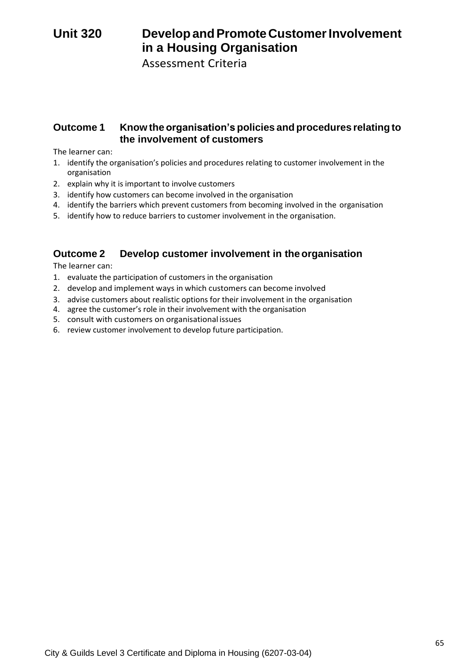# Unit 320 **Develop and Promote Customer Involvement in a Housing Organisation**

Assessment Criteria

## **Outcome 1 Know the organisation's policies and procedures relating to the involvement of customers**

The learner can:

- 1. identify the organisation's policies and procedures relating to customer involvement in the organisation
- 2. explain why it is important to involve customers
- 3. identify how customers can become involved in the organisation
- 4. identify the barriers which prevent customers from becoming involved in the organisation
- 5. identify how to reduce barriers to customer involvement in the organisation.

## **Outcome 2 Develop customer involvement in theorganisation**

- 1. evaluate the participation of customers in the organisation
- 2. develop and implement ways in which customers can become involved
- 3. advise customers about realistic options for their involvement in the organisation
- 4. agree the customer's role in their involvement with the organisation
- 5. consult with customers on organisational issues
- 6. review customer involvement to develop future participation.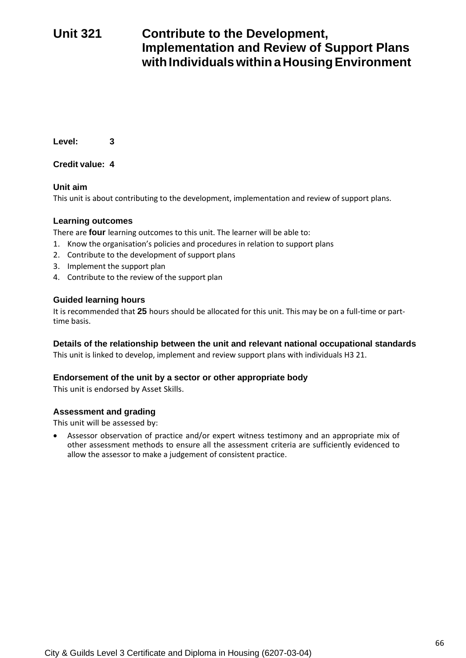# **Unit 321 Contribute to the Development, Implementation and Review of Support Plans**  with Individuals within a Housing Environment

**Level: 3**

**Credit value: 4**

## **Unit aim**

This unit is about contributing to the development, implementation and review of support plans.

## **Learning outcomes**

There are **four** learning outcomes to this unit. The learner will be able to:

- 1. Know the organisation's policies and procedures in relation to support plans
- 2. Contribute to the development of support plans
- 3. Implement the support plan
- 4. Contribute to the review of the support plan

## **Guided learning hours**

It is recommended that **25** hours should be allocated for this unit. This may be on a full-time or parttime basis.

## **Details of the relationship between the unit and relevant national occupational standards**

This unit is linked to develop, implement and review support plans with individuals H3 21.

## **Endorsement of the unit by a sector or other appropriate body**

This unit is endorsed by Asset Skills.

## **Assessment and grading**

This unit will be assessed by: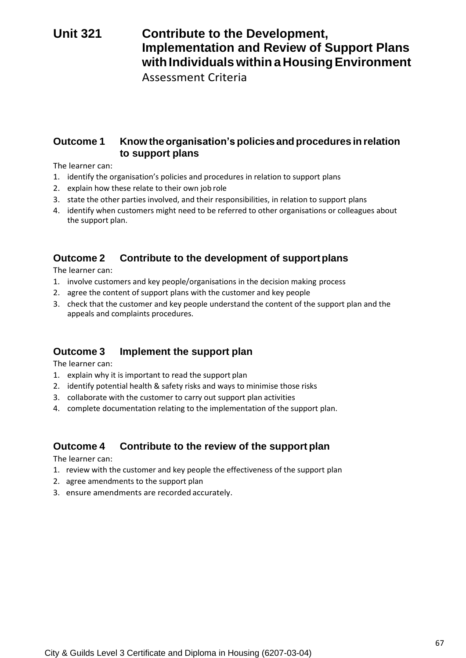# **Unit 321 Contribute to the Development, Implementation and Review of Support Plans with Individuals within a Housing Environment**

Assessment Criteria

## **Outcome 1 Know theorganisation's policies and procedures in relation to support plans**

The learner can:

- 1. identify the organisation's policies and procedures in relation to support plans
- 2. explain how these relate to their own job role
- 3. state the other parties involved, and their responsibilities, in relation to support plans
- 4. identify when customers might need to be referred to other organisations or colleagues about the support plan.

## **Outcome 2 Contribute to the development of supportplans**

The learner can:

- 1. involve customers and key people/organisations in the decision making process
- 2. agree the content of support plans with the customer and key people
- 3. check that the customer and key people understand the content of the support plan and the appeals and complaints procedures.

## **Outcome 3 Implement the support plan**

The learner can:

- 1. explain why it is important to read the support plan
- 2. identify potential health & safety risks and ways to minimise those risks
- 3. collaborate with the customer to carry out support plan activities
- 4. complete documentation relating to the implementation of the support plan.

## **Outcome 4 Contribute to the review of the support plan**

- 1. review with the customer and key people the effectiveness of the support plan
- 2. agree amendments to the support plan
- 3. ensure amendments are recorded accurately.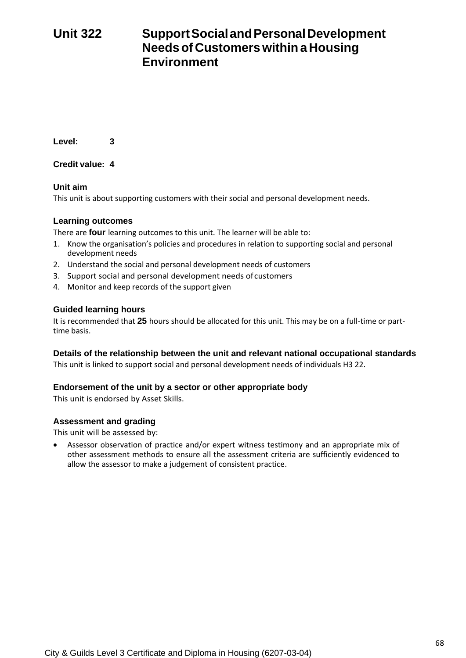# **Unit 322 SupportSocialandPersonalDevelopment Needsof Customerswithina Housing Environment**

**Level: 3**

**Credit value: 4**

## **Unit aim**

This unit is about supporting customers with their social and personal development needs.

## **Learning outcomes**

There are **four** learning outcomes to this unit. The learner will be able to:

- 1. Know the organisation's policies and procedures in relation to supporting social and personal development needs
- 2. Understand the social and personal development needs of customers
- 3. Support social and personal development needs ofcustomers
- 4. Monitor and keep records of the support given

## **Guided learning hours**

It is recommended that **25** hours should be allocated for this unit. This may be on a full-time or parttime basis.

## **Details of the relationship between the unit and relevant national occupational standards**

This unit is linked to support social and personal development needs of individuals H3 22.

## **Endorsement of the unit by a sector or other appropriate body**

This unit is endorsed by Asset Skills.

## **Assessment and grading**

This unit will be assessed by: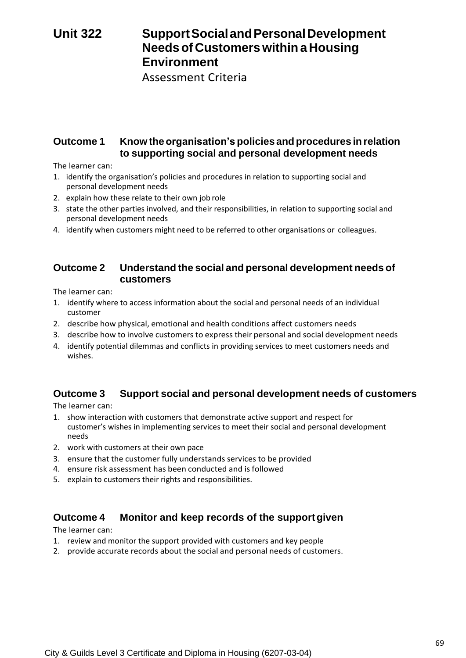# **Unit 322 SupportSocialandPersonalDevelopment Needsof Customerswithina Housing Environment**

Assessment Criteria

## **Outcome 1 Know theorganisation's policies and procedures in relation to supporting social and personal development needs**

The learner can:

- 1. identify the organisation's policies and procedures in relation to supporting social and personal development needs
- 2. explain how these relate to their own job role
- 3. state the other parties involved, and their responsibilities, in relation to supporting social and personal development needs
- 4. identify when customers might need to be referred to other organisations or colleagues.

## **Outcome 2 Understand the social and personal development needs of customers**

The learner can:

- 1. identify where to access information about the social and personal needs of an individual customer
- 2. describe how physical, emotional and health conditions affect customers needs
- 3. describe how to involve customers to express their personal and social development needs
- 4. identify potential dilemmas and conflicts in providing services to meet customers needs and wishes.

## **Outcome 3 Support social and personal development needs of customers**

The learner can:

- 1. show interaction with customers that demonstrate active support and respect for customer's wishes in implementing services to meet their social and personal development needs
- 2. work with customers at their own pace
- 3. ensure that the customer fully understands services to be provided
- 4. ensure risk assessment has been conducted and is followed
- 5. explain to customers their rights and responsibilities.

## **Outcome 4 Monitor and keep records of the supportgiven**

- 1. review and monitor the support provided with customers and key people
- 2. provide accurate records about the social and personal needs of customers.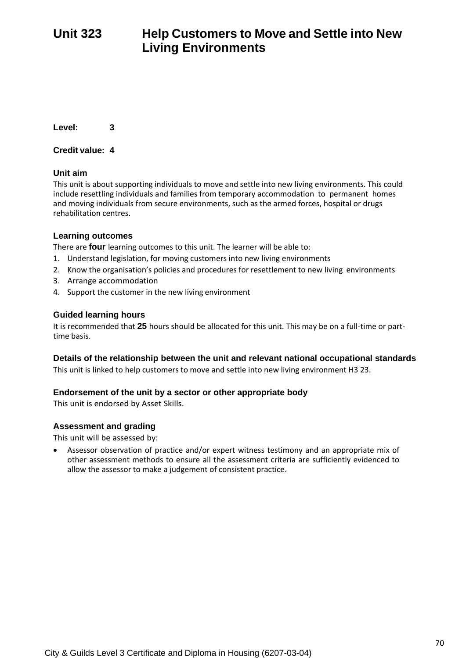# **Unit 323 Help Customers to Move and Settle into New Living Environments**

**Level: 3**

## **Credit value: 4**

## **Unit aim**

This unit is about supporting individuals to move and settle into new living environments. This could include resettling individuals and families from temporary accommodation to permanent homes and moving individuals from secure environments, such as the armed forces, hospital or drugs rehabilitation centres.

## **Learning outcomes**

There are **four** learning outcomes to this unit. The learner will be able to:

- 1. Understand legislation, for moving customers into new living environments
- 2. Know the organisation's policies and procedures for resettlement to new living environments
- 3. Arrange accommodation
- 4. Support the customer in the new living environment

## **Guided learning hours**

It is recommended that **25** hours should be allocated for this unit. This may be on a full-time or parttime basis.

#### **Details of the relationship between the unit and relevant national occupational standards**

This unit is linked to help customers to move and settle into new living environment H3 23.

#### **Endorsement of the unit by a sector or other appropriate body**

This unit is endorsed by Asset Skills.

#### **Assessment and grading**

This unit will be assessed by: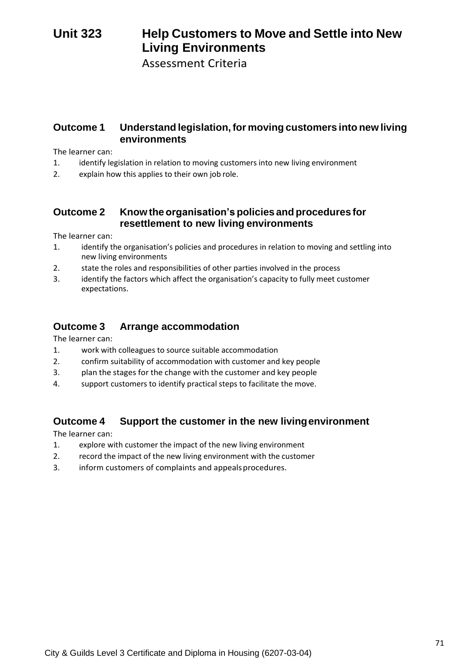# **Unit 323 Help Customers to Move and Settle into New Living Environments**

Assessment Criteria

## **Outcome 1 Understand legislation,for moving customers into new living environments**

The learner can:

- 1. identify legislation in relation to moving customers into new living environment
- 2. explain how this applies to their own job role.

## **Outcome 2 Knowtheorganisation's policies andprocedures for resettlement to new living environments**

The learner can:

- 1. identify the organisation's policies and procedures in relation to moving and settling into new living environments
- 2. state the roles and responsibilities of other parties involved in the process
- 3. identify the factors which affect the organisation's capacity to fully meet customer expectations.

## **Outcome 3 Arrange accommodation**

The learner can:

- 1. work with colleagues to source suitable accommodation
- 2. confirm suitability of accommodation with customer and key people
- 3. plan the stages for the change with the customer and key people
- 4. support customers to identify practical steps to facilitate the move.

## **Outcome 4 Support the customer in the new livingenvironment**

- 1. explore with customer the impact of the new living environment
- 2. record the impact of the new living environment with the customer
- 3. inform customers of complaints and appeals procedures.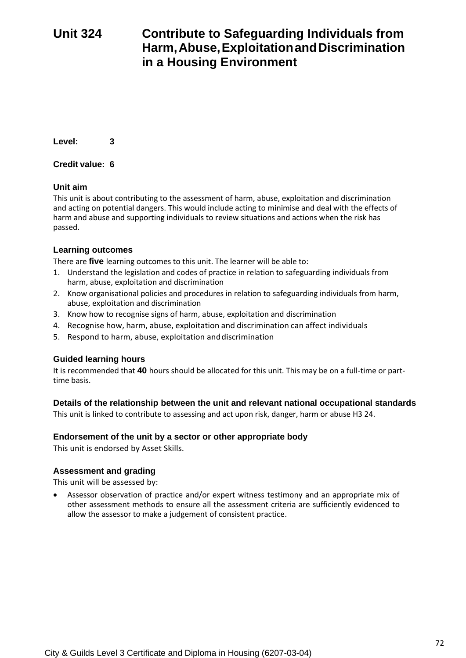# **Unit 324 Contribute to Safeguarding Individuals from Harm,Abuse,ExploitationandDiscrimination in a Housing Environment**

**Level: 3**

## **Credit value: 6**

## **Unit aim**

This unit is about contributing to the assessment of harm, abuse, exploitation and discrimination and acting on potential dangers. This would include acting to minimise and deal with the effects of harm and abuse and supporting individuals to review situations and actions when the risk has passed.

## **Learning outcomes**

There are **five** learning outcomes to this unit. The learner will be able to:

- 1. Understand the legislation and codes of practice in relation to safeguarding individuals from harm, abuse, exploitation and discrimination
- 2. Know organisational policies and procedures in relation to safeguarding individuals from harm, abuse, exploitation and discrimination
- 3. Know how to recognise signs of harm, abuse, exploitation and discrimination
- 4. Recognise how, harm, abuse, exploitation and discrimination can affect individuals
- 5. Respond to harm, abuse, exploitation anddiscrimination

## **Guided learning hours**

It is recommended that **40** hours should be allocated for this unit. This may be on a full-time or parttime basis.

## **Details of the relationship between the unit and relevant national occupational standards**

This unit is linked to contribute to assessing and act upon risk, danger, harm or abuse H3 24.

## **Endorsement of the unit by a sector or other appropriate body**

This unit is endorsed by Asset Skills.

## **Assessment and grading**

This unit will be assessed by: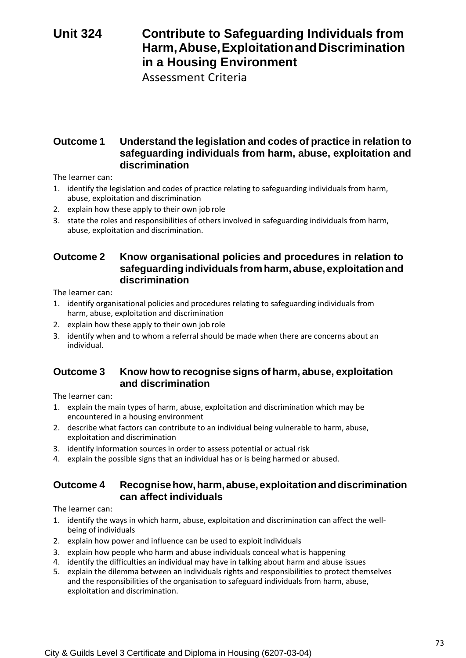# **Unit 324 Contribute to Safeguarding Individuals from Harm,Abuse,ExploitationandDiscrimination in a Housing Environment**

Assessment Criteria

# **Outcome 1 Understand the legislation and codes of practice in relation to safeguarding individuals from harm, abuse, exploitation and discrimination**

The learner can:

- 1. identify the legislation and codes of practice relating to safeguarding individuals from harm, abuse, exploitation and discrimination
- 2. explain how these apply to their own job role
- 3. state the roles and responsibilities of others involved in safeguarding individuals from harm, abuse, exploitation and discrimination.

# **Outcome 2 Know organisational policies and procedures in relation to safeguardingindividuals from harm, abuse, exploitationand discrimination**

The learner can:

- 1. identify organisational policies and procedures relating to safeguarding individuals from harm, abuse, exploitation and discrimination
- 2. explain how these apply to their own job role
- 3. identify when and to whom a referral should be made when there are concerns about an individual.

### **Outcome 3 Know how to recognise signs of harm, abuse, exploitation and discrimination**

The learner can:

- 1. explain the main types of harm, abuse, exploitation and discrimination which may be encountered in a housing environment
- 2. describe what factors can contribute to an individual being vulnerable to harm, abuse, exploitation and discrimination
- 3. identify information sources in order to assess potential or actual risk
- 4. explain the possible signs that an individual has or is being harmed or abused.

### **Outcome 4 Recognisehow,harm,abuse,exploitationanddiscrimination can affect individuals**

- 1. identify the ways in which harm, abuse, exploitation and discrimination can affect the wellbeing of individuals
- 2. explain how power and influence can be used to exploit individuals
- 3. explain how people who harm and abuse individuals conceal what is happening
- 4. identify the difficulties an individual may have in talking about harm and abuse issues
- 5. explain the dilemma between an individuals rights and responsibilities to protect themselves and the responsibilities of the organisation to safeguard individuals from harm, abuse, exploitation and discrimination.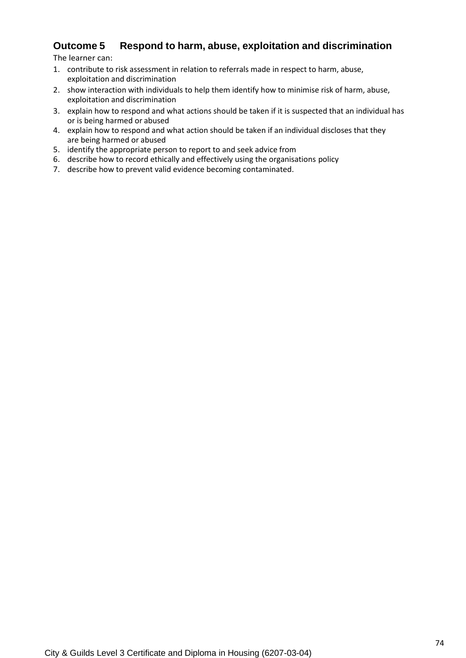# **Outcome 5 Respond to harm, abuse, exploitation and discrimination**

- 1. contribute to risk assessment in relation to referrals made in respect to harm, abuse, exploitation and discrimination
- 2. show interaction with individuals to help them identify how to minimise risk of harm, abuse, exploitation and discrimination
- 3. explain how to respond and what actions should be taken if it is suspected that an individual has or is being harmed or abused
- 4. explain how to respond and what action should be taken if an individual discloses that they are being harmed or abused
- 5. identify the appropriate person to report to and seek advice from
- 6. describe how to record ethically and effectively using the organisations policy
- 7. describe how to prevent valid evidence becoming contaminated.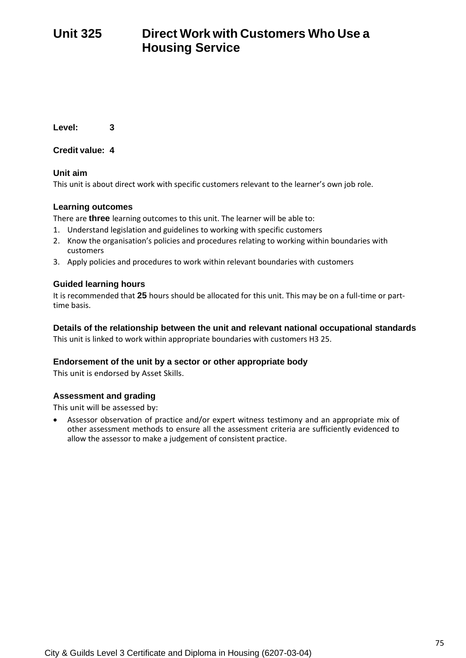# **Unit 325 Direct Work with Customers Who Use a Housing Service**

**Level: 3**

**Credit value: 4**

### **Unit aim**

This unit is about direct work with specific customers relevant to the learner's own job role.

### **Learning outcomes**

There are **three** learning outcomes to this unit. The learner will be able to:

- 1. Understand legislation and guidelines to working with specific customers
- 2. Know the organisation's policies and procedures relating to working within boundaries with customers
- 3. Apply policies and procedures to work within relevant boundaries with customers

### **Guided learning hours**

It is recommended that **25** hours should be allocated for this unit. This may be on a full-time or parttime basis.

### **Details of the relationship between the unit and relevant national occupational standards**

This unit is linked to work within appropriate boundaries with customers H3 25.

### **Endorsement of the unit by a sector or other appropriate body**

This unit is endorsed by Asset Skills.

### **Assessment and grading**

This unit will be assessed by:

• Assessor observation of practice and/or expert witness testimony and an appropriate mix of other assessment methods to ensure all the assessment criteria are sufficiently evidenced to allow the assessor to make a judgement of consistent practice.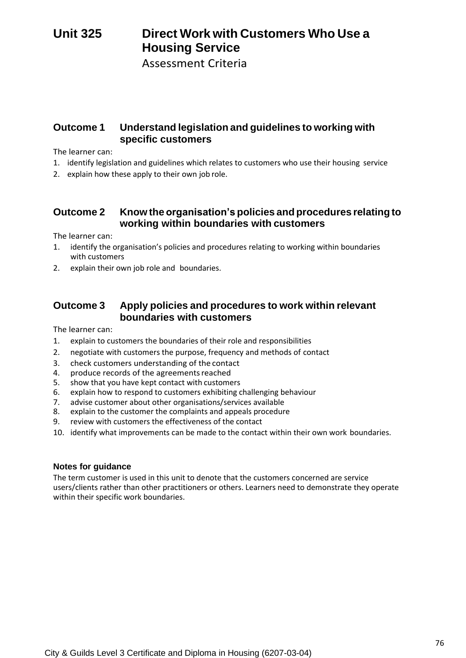# **Unit 325 Direct Work with Customers Who Use a Housing Service**

Assessment Criteria

# **Outcome 1 Understand legislation and guidelines to working with specific customers**

The learner can:

- 1. identify legislation and guidelines which relates to customers who use their housing service
- 2. explain how these apply to their own job role.

# **Outcome 2 Know the organisation's policies and procedures relating to working within boundaries with customers**

The learner can:

- 1. identify the organisation's policies and procedures relating to working within boundaries with customers
- 2. explain their own job role and boundaries.

# **Outcome 3 Apply policies and procedures to work within relevant boundaries with customers**

The learner can:

- 1. explain to customers the boundaries of their role and responsibilities
- 2. negotiate with customers the purpose, frequency and methods of contact
- 3. check customers understanding of the contact<br>4. produce records of the agreements reached
- produce records of the agreements reached
- 5. show that you have kept contact with customers
- 6. explain how to respond to customers exhibiting challenging behaviour
- 7. advise customer about other organisations/services available
- 8. explain to the customer the complaints and appeals procedure
- 9. review with customers the effectiveness of the contact
- 10. identify what improvements can be made to the contact within their own work boundaries.

### **Notes for guidance**

The term customer is used in this unit to denote that the customers concerned are service users/clients rather than other practitioners or others. Learners need to demonstrate they operate within their specific work boundaries.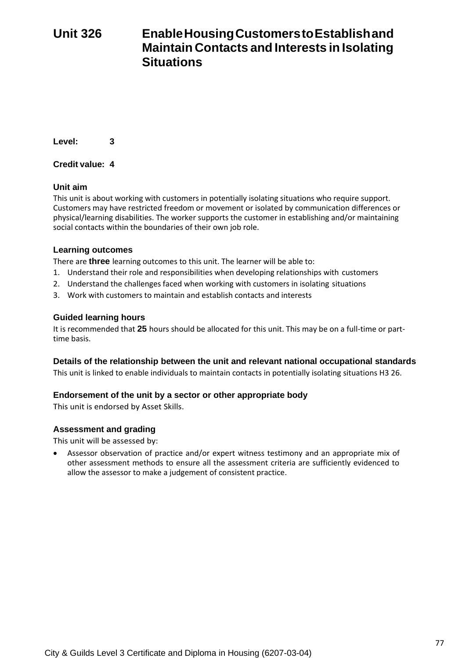# **Unit 326 EnableHousingCustomerstoEstablishand Maintain Contacts and Interests in Isolating Situations**

**Level: 3**

### **Credit value: 4**

### **Unit aim**

This unit is about working with customers in potentially isolating situations who require support. Customers may have restricted freedom or movement or isolated by communication differences or physical/learning disabilities. The worker supports the customer in establishing and/or maintaining social contacts within the boundaries of their own job role.

### **Learning outcomes**

There are **three** learning outcomes to this unit. The learner will be able to:

- 1. Understand their role and responsibilities when developing relationships with customers
- 2. Understand the challenges faced when working with customers in isolating situations
- 3. Work with customers to maintain and establish contacts and interests

### **Guided learning hours**

It is recommended that **25** hours should be allocated for this unit. This may be on a full-time or parttime basis.

### **Details of the relationship between the unit and relevant national occupational standards**

This unit is linked to enable individuals to maintain contacts in potentially isolating situations H3 26.

### **Endorsement of the unit by a sector or other appropriate body**

This unit is endorsed by Asset Skills.

### **Assessment and grading**

This unit will be assessed by:

• Assessor observation of practice and/or expert witness testimony and an appropriate mix of other assessment methods to ensure all the assessment criteria are sufficiently evidenced to allow the assessor to make a judgement of consistent practice.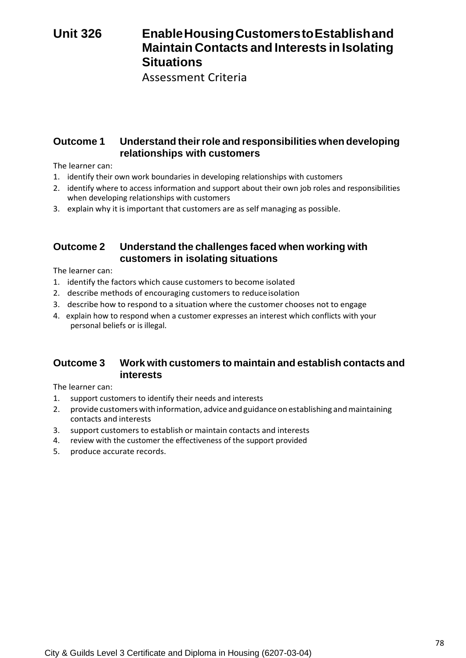# **Unit 326 EnableHousingCustomerstoEstablishand Maintain Contacts and Interests in Isolating Situations**

Assessment Criteria

# **Outcome 1 Understand theirrole and responsibilities when developing relationships with customers**

The learner can:

- 1. identify their own work boundaries in developing relationships with customers
- 2. identify where to access information and support about their own job roles and responsibilities when developing relationships with customers
- 3. explain why it is important that customers are as self managing as possible.

# **Outcome 2 Understand the challenges faced when working with customers in isolating situations**

The learner can:

- 1. identify the factors which cause customers to become isolated
- 2. describe methods of encouraging customers to reduceisolation
- 3. describe how to respond to a situation where the customer chooses not to engage
- 4. explain how to respond when a customer expresses an interest which conflicts with your personal beliefs or is illegal.

# **Outcome 3 Work with customers to maintain and establish contacts and interests**

- 1. support customers to identify their needs and interests
- 2. provide customers with information, advice and guidance on establishing and maintaining contacts and interests
- 3. support customers to establish or maintain contacts and interests
- 4. review with the customer the effectiveness of the support provided
- 5. produce accurate records.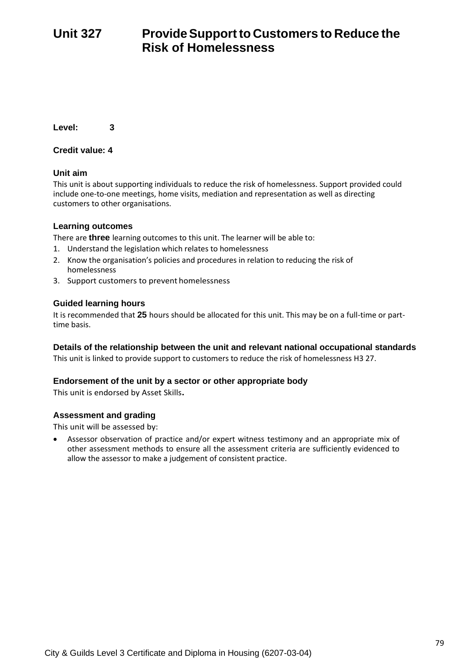# **Unit 327 ProvideSupportto Customers to Reduce the Risk of Homelessness**

**Level: 3**

### **Credit value: 4**

### **Unit aim**

This unit is about supporting individuals to reduce the risk of homelessness. Support provided could include one-to-one meetings, home visits, mediation and representation as well as directing customers to other organisations.

### **Learning outcomes**

There are **three** learning outcomes to this unit. The learner will be able to:

- 1. Understand the legislation which relates to homelessness
- 2. Know the organisation's policies and procedures in relation to reducing the risk of homelessness
- 3. Support customers to prevent homelessness

#### **Guided learning hours**

It is recommended that **25** hours should be allocated for this unit. This may be on a full-time or parttime basis.

#### **Details of the relationship between the unit and relevant national occupational standards**

This unit is linked to provide support to customers to reduce the risk of homelessness H3 27.

#### **Endorsement of the unit by a sector or other appropriate body**

This unit is endorsed by Asset Skills**.**

#### **Assessment and grading**

This unit will be assessed by:

• Assessor observation of practice and/or expert witness testimony and an appropriate mix of other assessment methods to ensure all the assessment criteria are sufficiently evidenced to allow the assessor to make a judgement of consistent practice.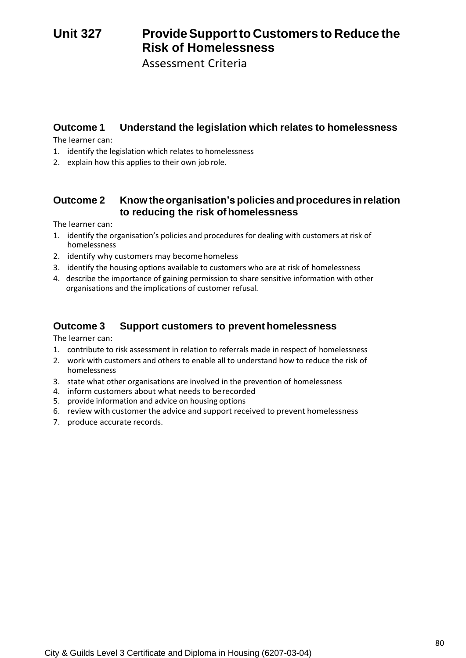# **Unit 327 ProvideSupportto Customers to Reduce the Risk of Homelessness**

Assessment Criteria

# **Outcome 1 Understand the legislation which relates to homelessness**

The learner can:

- 1. identify the legislation which relates to homelessness
- 2. explain how this applies to their own job role.

# **Outcome 2 Know theorganisation's policies and procedures in relation to reducing the risk of homelessness**

The learner can:

- 1. identify the organisation's policies and procedures for dealing with customers at risk of homelessness
- 2. identify why customers may become homeless
- 3. identify the housing options available to customers who are at risk of homelessness
- 4. describe the importance of gaining permission to share sensitive information with other organisations and the implications of customer refusal.

# **Outcome 3 Support customers to prevent homelessness**

- 1. contribute to risk assessment in relation to referrals made in respect of homelessness
- 2. work with customers and others to enable all to understand how to reduce the risk of homelessness
- 3. state what other organisations are involved in the prevention of homelessness
- 4. inform customers about what needs to berecorded
- 5. provide information and advice on housing options
- 6. review with customer the advice and support received to prevent homelessness
- 7. produce accurate records.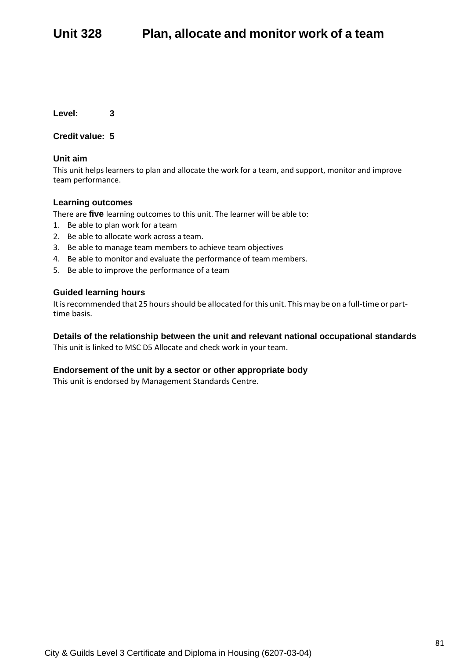**Level: 3**

**Credit value: 5**

### **Unit aim**

This unit helps learners to plan and allocate the work for a team, and support, monitor and improve team performance.

### **Learning outcomes**

There are **five** learning outcomes to this unit. The learner will be able to:

- 1. Be able to plan work for a team
- 2. Be able to allocate work across a team.
- 3. Be able to manage team members to achieve team objectives
- 4. Be able to monitor and evaluate the performance of team members.
- 5. Be able to improve the performance of a team

#### **Guided learning hours**

It is recommended that 25 hours should be allocated for this unit. This may be on a full-time or parttime basis.

### **Details of the relationship between the unit and relevant national occupational standards**

This unit is linked to MSC D5 Allocate and check work in your team.

#### **Endorsement of the unit by a sector or other appropriate body**

This unit is endorsed by Management Standards Centre.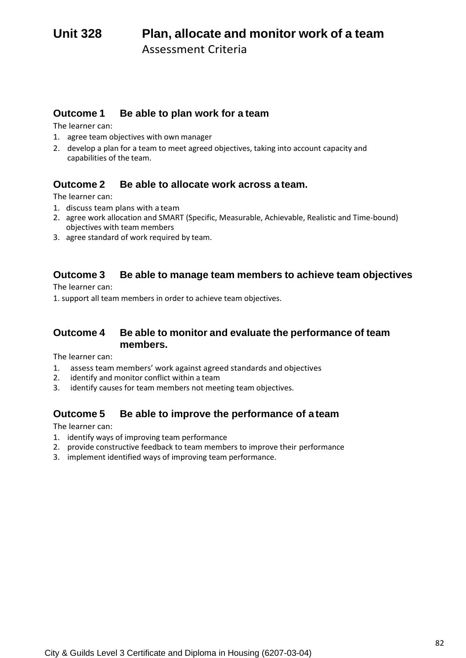# **Outcome 1 Be able to plan work for a team**

The learner can:

- 1. agree team objectives with own manager
- 2. develop a plan for a team to meet agreed objectives, taking into account capacity and capabilities of the team.

### **Outcome 2 Be able to allocate work across a team.**

The learner can:

- 1. discuss team plans with a team
- 2. agree work allocation and SMART (Specific, Measurable, Achievable, Realistic and Time-bound) objectives with team members
- 3. agree standard of work required by team.

# **Outcome 3 Be able to manage team members to achieve team objectives**

The learner can:

1. support all team members in order to achieve team objectives.

### **Outcome 4 Be able to monitor and evaluate the performance of team members.**

The learner can:

- 1. assess team members' work against agreed standards and objectives
- 2. identify and monitor conflict within a team
- 3. identify causes for team members not meeting team objectives.

# **Outcome 5 Be able to improve the performance of ateam**

- 1. identify ways of improving team performance
- 2. provide constructive feedback to team members to improve their performance
- 3. implement identified ways of improving team performance.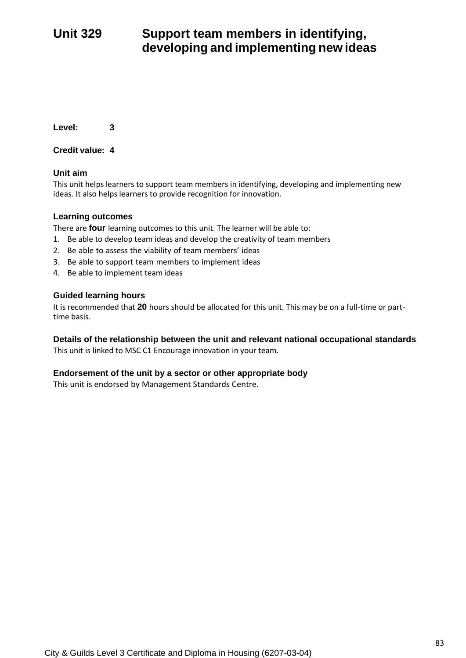# **Unit 329 Support team members in identifying, developing and implementing new ideas**

**Level: 3**

**Credit value: 4**

### **Unit aim**

This unit helps learners to support team members in identifying, developing and implementing new ideas. It also helps learners to provide recognition for innovation.

### **Learning outcomes**

There are **four** learning outcomes to this unit. The learner will be able to:

- 1. Be able to develop team ideas and develop the creativity of team members
- 2. Be able to assess the viability of team members' ideas
- 3. Be able to support team members to implement ideas
- 4. Be able to implement team ideas

### **Guided learning hours**

It is recommended that **20** hours should be allocated for this unit. This may be on a full-time or parttime basis.

### **Details of the relationship between the unit and relevant national occupational standards**

This unit is linked to MSC C1 Encourage innovation in your team.

### **Endorsement of the unit by a sector or other appropriate body**

This unit is endorsed by Management Standards Centre.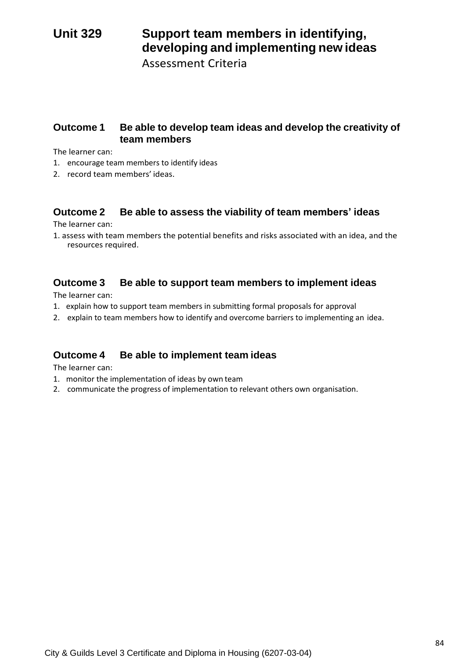# **Unit 329 Support team members in identifying, developing and implementing new ideas**

Assessment Criteria

# **Outcome 1 Be able to develop team ideas and develop the creativity of team members**

The learner can:

- 1. encourage team members to identify ideas
- 2. record team members' ideas.

# **Outcome 2 Be able to assess the viability of team members' ideas**

The learner can:

1. assess with team members the potential benefits and risks associated with an idea, and the resources required.

# **Outcome 3 Be able to support team members to implement ideas**

The learner can:

- 1. explain how to support team members in submitting formal proposals for approval
- 2. explain to team members how to identify and overcome barriers to implementing an idea.

### **Outcome 4 Be able to implement team ideas**

- 1. monitor the implementation of ideas by own team
- 2. communicate the progress of implementation to relevant others own organisation.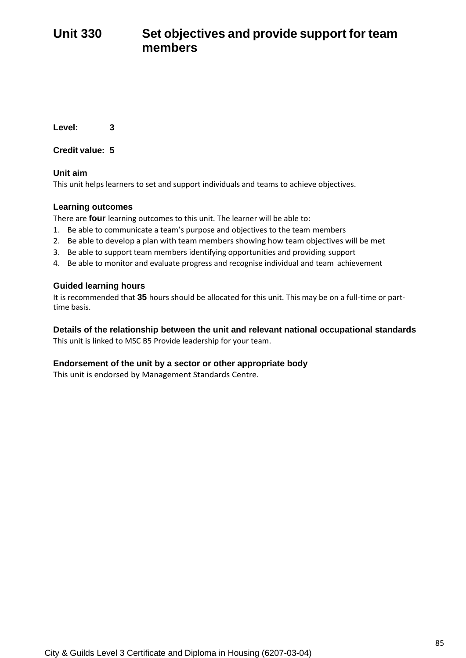# **Unit 330 Set objectives and provide support for team members**

**Level: 3**

**Credit value: 5**

**Unit aim**

This unit helps learners to set and support individuals and teams to achieve objectives.

### **Learning outcomes**

There are **four** learning outcomes to this unit. The learner will be able to:

- 1. Be able to communicate a team's purpose and objectives to the team members
- 2. Be able to develop a plan with team members showing how team objectives will be met
- 3. Be able to support team members identifying opportunities and providing support
- 4. Be able to monitor and evaluate progress and recognise individual and team achievement

### **Guided learning hours**

It is recommended that **35** hours should be allocated for this unit. This may be on a full-time or parttime basis.

**Details of the relationship between the unit and relevant national occupational standards** This unit is linked to MSC B5 Provide leadership for your team.

### **Endorsement of the unit by a sector or other appropriate body**

This unit is endorsed by Management Standards Centre.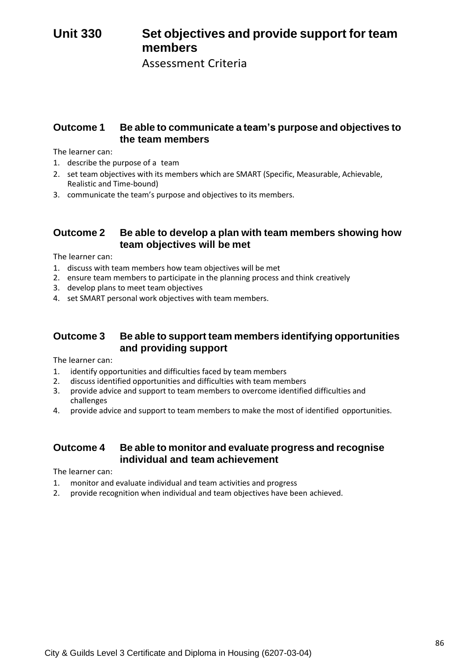# **Unit 330 Set objectives and provide support for team members**

Assessment Criteria

### **Outcome 1 Be able to communicate a team's purpose and objectives to the team members**

The learner can:

- 1. describe the purpose of a team
- 2. set team objectives with its members which are SMART (Specific, Measurable, Achievable, Realistic and Time-bound)
- 3. communicate the team's purpose and objectives to its members.

### **Outcome 2 Be able to develop a plan with team members showing how team objectives will be met**

The learner can:

- 1. discuss with team members how team objectives will be met
- 2. ensure team members to participate in the planning process and think creatively
- 3. develop plans to meet team objectives
- 4. set SMART personal work objectives with team members.

### **Outcome 3 Be able to support team members identifying opportunities and providing support**

The learner can:

- 1. identify opportunities and difficulties faced by team members
- 2. discuss identified opportunities and difficulties with team members
- 3. provide advice and support to team members to overcome identified difficulties and challenges
- 4. provide advice and support to team members to make the most of identified opportunities.

### **Outcome 4 Be able to monitor and evaluate progress and recognise individual and team achievement**

- 1. monitor and evaluate individual and team activities and progress
- 2. provide recognition when individual and team objectives have been achieved.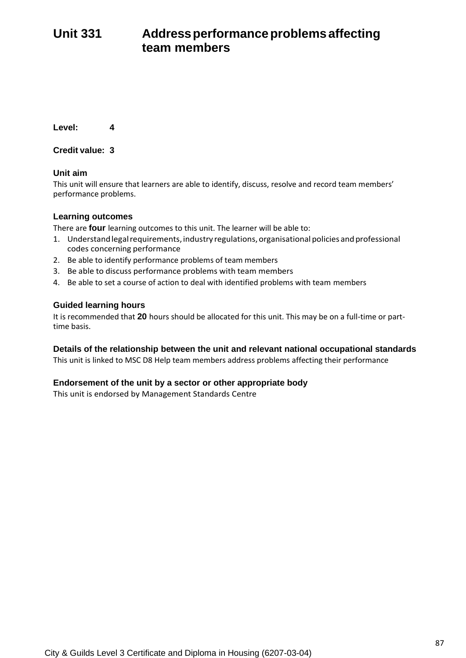# **Unit 331 Addressperformanceproblemsaffecting team members**

**Level: 4**

**Credit value: 3**

### **Unit aim**

This unit will ensure that learners are able to identify, discuss, resolve and record team members' performance problems.

### **Learning outcomes**

There are **four** learning outcomes to this unit. The learner will be able to:

- 1. Understand legal requirements, industry regulations, organisational policies and professional codes concerning performance
- 2. Be able to identify performance problems of team members
- 3. Be able to discuss performance problems with team members
- 4. Be able to set a course of action to deal with identified problems with team members

### **Guided learning hours**

It is recommended that **20** hours should be allocated for this unit. This may be on a full-time or parttime basis.

### **Details of the relationship between the unit and relevant national occupational standards**

This unit is linked to MSC D8 Help team members address problems affecting their performance

### **Endorsement of the unit by a sector or other appropriate body**

This unit is endorsed by Management Standards Centre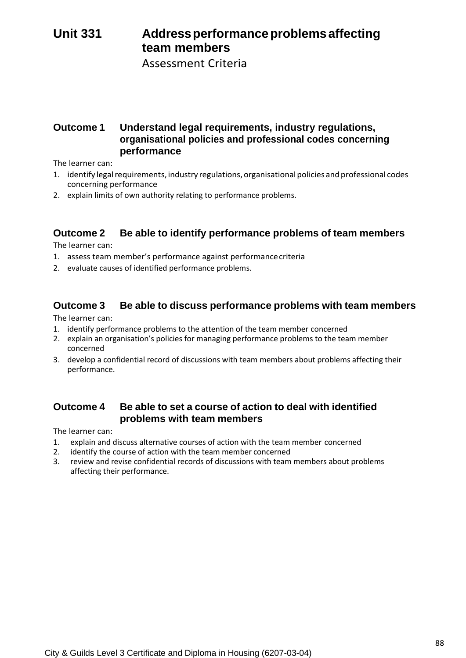# **Unit 331 Addressperformanceproblemsaffecting team members**

Assessment Criteria

# **Outcome 1 Understand legal requirements, industry regulations, organisational policies and professional codes concerning performance**

The learner can:

- 1. identify legal requirements, industry regulations, organisational policies and professional codes concerning performance
- 2. explain limits of own authority relating to performance problems.

# **Outcome 2 Be able to identify performance problems of team members**

The learner can:

- 1. assess team member's performance against performancecriteria
- 2. evaluate causes of identified performance problems.

### **Outcome 3 Be able to discuss performance problems with team members**

The learner can:

- 1. identify performance problems to the attention of the team member concerned
- 2. explain an organisation's policies for managing performance problems to the team member concerned
- 3. develop a confidential record of discussions with team members about problems affecting their performance.

# **Outcome 4 Be able to set a course of action to deal with identified problems with team members**

- 1. explain and discuss alternative courses of action with the team member concerned
- 2. identify the course of action with the team member concerned
- 3. review and revise confidential records of discussions with team members about problems affecting their performance.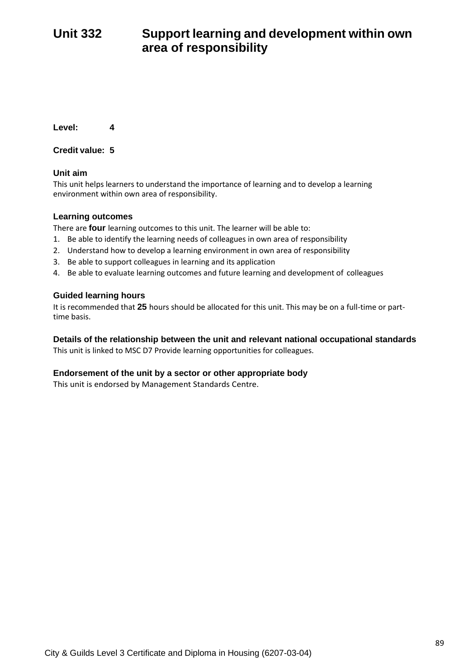# **Unit 332 Support learning and development within own area of responsibility**

**Level: 4**

**Credit value: 5**

### **Unit aim**

This unit helps learners to understand the importance of learning and to develop a learning environment within own area of responsibility.

### **Learning outcomes**

There are **four** learning outcomes to this unit. The learner will be able to:

- 1. Be able to identify the learning needs of colleagues in own area of responsibility
- 2. Understand how to develop a learning environment in own area of responsibility
- 3. Be able to support colleagues in learning and its application
- 4. Be able to evaluate learning outcomes and future learning and development of colleagues

### **Guided learning hours**

It is recommended that **25** hours should be allocated for this unit. This may be on a full-time or parttime basis.

### **Details of the relationship between the unit and relevant national occupational standards**

This unit is linked to MSC D7 Provide learning opportunities for colleagues.

### **Endorsement of the unit by a sector or other appropriate body**

This unit is endorsed by Management Standards Centre.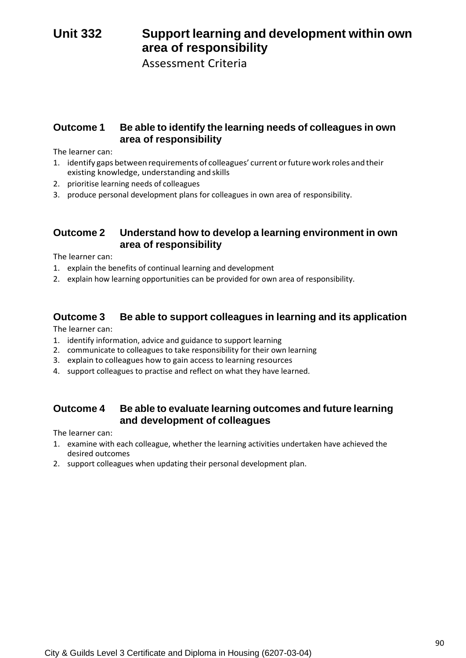# **Unit 332 Support learning and development within own area of responsibility**

Assessment Criteria

### **Outcome 1 Be able to identify the learning needs of colleagues in own area of responsibility**

The learner can:

- 1. identify gaps between requirements of colleagues' current orfuturework roles and their existing knowledge, understanding and skills
- 2. prioritise learning needs of colleagues
- 3. produce personal development plans for colleagues in own area of responsibility.

### **Outcome 2 Understand how to develop a learning environment in own area of responsibility**

The learner can:

- 1. explain the benefits of continual learning and development
- 2. explain how learning opportunities can be provided for own area of responsibility.

# **Outcome 3 Be able to support colleagues in learning and its application**

The learner can:

- 1. identify information, advice and guidance to support learning
- 2. communicate to colleagues to take responsibility for their own learning
- 3. explain to colleagues how to gain access to learning resources
- 4. support colleagues to practise and reflect on what they have learned.

# **Outcome 4 Be able to evaluate learning outcomes and future learning and development of colleagues**

- 1. examine with each colleague, whether the learning activities undertaken have achieved the desired outcomes
- 2. support colleagues when updating their personal development plan.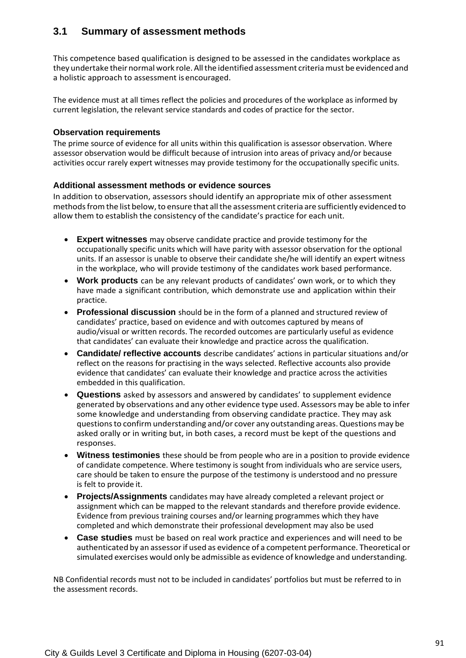# **3.1 Summary of assessment methods**

This competence based qualification is designed to be assessed in the candidates workplace as they undertake their normal work role. All the identified assessment criteria must be evidenced and a holistic approach to assessment isencouraged.

The evidence must at all times reflect the policies and procedures of the workplace as informed by current legislation, the relevant service standards and codes of practice for the sector.

### **Observation requirements**

The prime source of evidence for all units within this qualification is assessor observation. Where assessor observation would be difficult because of intrusion into areas of privacy and/or because activities occur rarely expert witnesses may provide testimony for the occupationally specific units.

### **Additional assessment methods or evidence sources**

In addition to observation, assessors should identify an appropriate mix of other assessment methods from the list below, to ensure that all the assessment criteria are sufficiently evidenced to allow them to establish the consistency of the candidate's practice for each unit.

- **Expert witnesses** may observe candidate practice and provide testimony for the occupationally specific units which will have parity with assessor observation for the optional units. If an assessor is unable to observe their candidate she/he will identify an expert witness in the workplace, who will provide testimony of the candidates work based performance.
- **Work products** can be any relevant products of candidates' own work, or to which they have made a significant contribution, which demonstrate use and application within their practice.
- **Professional discussion** should be in the form of a planned and structured review of candidates' practice, based on evidence and with outcomes captured by means of audio/visual or written records. The recorded outcomes are particularly useful as evidence that candidates' can evaluate their knowledge and practice across the qualification.
- **Candidate/ reflective accounts** describe candidates' actions in particular situations and/or reflect on the reasons for practising in the ways selected. Reflective accounts also provide evidence that candidates' can evaluate their knowledge and practice across the activities embedded in this qualification.
- **Questions** asked by assessors and answered by candidates' to supplement evidence generated by observations and any other evidence type used. Assessors may be able to infer some knowledge and understanding from observing candidate practice. They may ask questions to confirm understanding and/or cover any outstanding areas. Questions may be asked orally or in writing but, in both cases, a record must be kept of the questions and responses.
- **Witness testimonies** these should be from people who are in a position to provide evidence of candidate competence. Where testimony is sought from individuals who are service users, care should be taken to ensure the purpose of the testimony is understood and no pressure is felt to provide it.
- **Projects/Assignments** candidates may have already completed a relevant project or assignment which can be mapped to the relevant standards and therefore provide evidence. Evidence from previous training courses and/or learning programmes which they have completed and which demonstrate their professional development may also be used
- **Case studies** must be based on real work practice and experiences and will need to be authenticated by an assessorif used as evidence of a competent performance. Theoretical or simulated exercises would only be admissible as evidence of knowledge and understanding.

NB Confidential records must not to be included in candidates' portfolios but must be referred to in the assessment records.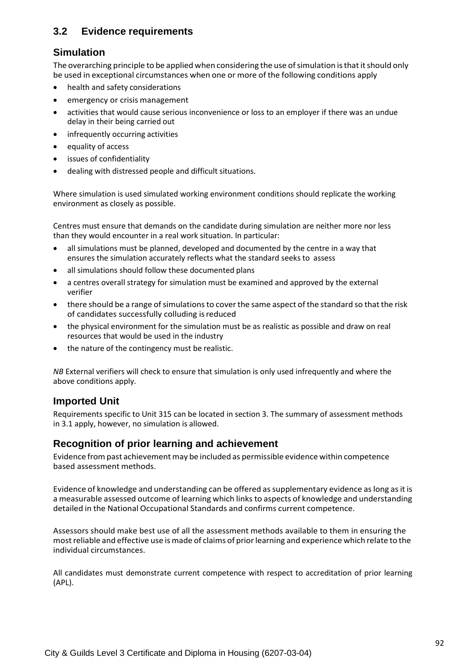# **3.2 Evidence requirements**

### **Simulation**

The overarching principle to be applied when considering the use of simulation is that it should only be used in exceptional circumstances when one or more of the following conditions apply

- health and safety considerations
- emergency or crisis management
- activities that would cause serious inconvenience or loss to an employer if there was an undue delay in their being carried out
- infrequently occurring activities
- equality of access
- issues of confidentiality
- dealing with distressed people and difficult situations.

Where simulation is used simulated working environment conditions should replicate the working environment as closely as possible.

Centres must ensure that demands on the candidate during simulation are neither more nor less than they would encounter in a real work situation. In particular:

- all simulations must be planned, developed and documented by the centre in a way that ensures the simulation accurately reflects what the standard seeks to assess
- all simulations should follow these documented plans
- a centres overall strategy for simulation must be examined and approved by the external verifier
- there should be a range of simulations to cover the same aspect of the standard so that the risk of candidates successfully colluding isreduced
- the physical environment for the simulation must be as realistic as possible and draw on real resources that would be used in the industry
- the nature of the contingency must be realistic.

*NB* External verifiers will check to ensure that simulation is only used infrequently and where the above conditions apply.

### **Imported Unit**

Requirements specific to Unit 315 can be located in section 3. The summary of assessment methods in 3.1 apply, however, no simulation is allowed.

### **Recognition of prior learning and achievement**

Evidence frompast achievementmay be included as permissible evidence within competence based assessment methods.

Evidence of knowledge and understanding can be offered as supplementary evidence as long as it is a measurable assessed outcome of learning which linksto aspects of knowledge and understanding detailed in the National Occupational Standards and confirms current competence.

Assessors should make best use of all the assessment methods available to them in ensuring the mostreliable and effective use ismade of claims of priorlearning and experience which relate to the individual circumstances.

All candidates must demonstrate current competence with respect to accreditation of prior learning (APL).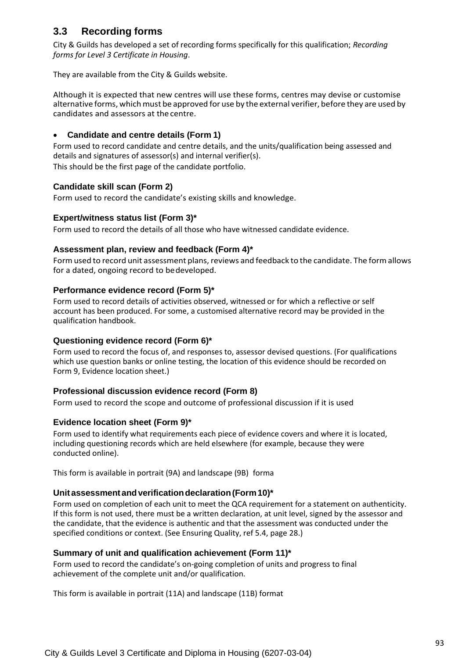# **3.3 Recording forms**

City & Guilds has developed a set of recording forms specifically for this qualification; *Recording forms for Level 3 Certificate in Housing*.

They are available from the City & Guilds website.

Although it is expected that new centres will use these forms, centres may devise or customise alternative forms, which must be approved for use by the external verifier, before they are used by candidates and assessors at the centre.

### • **Candidate and centre details (Form 1)**

Form used to record candidate and centre details, and the units/qualification being assessed and details and signatures of assessor(s) and internal verifier(s).

This should be the first page of the candidate portfolio.

### **Candidate skill scan (Form 2)**

Form used to record the candidate's existing skills and knowledge.

### **Expert/witness status list (Form 3)\***

Form used to record the details of all those who have witnessed candidate evidence.

### **Assessment plan, review and feedback (Form 4)\***

Form used to record unit assessment plans, reviews and feedback to the candidate. The form allows for a dated, ongoing record to bedeveloped.

### **Performance evidence record (Form 5)\***

Form used to record details of activities observed, witnessed or for which a reflective or self account has been produced. For some, a customised alternative record may be provided in the qualification handbook.

### **Questioning evidence record (Form 6)\***

Form used to record the focus of, and responses to, assessor devised questions. (For qualifications which use question banks or online testing, the location of this evidence should be recorded on Form 9, Evidence location sheet.)

### **Professional discussion evidence record (Form 8)**

Form used to record the scope and outcome of professional discussion if it is used

### **Evidence location sheet (Form 9)\***

Form used to identify what requirements each piece of evidence covers and where it is located, including questioning records which are held elsewhere (for example, because they were conducted online).

This form is available in portrait (9A) and landscape (9B) forma

### **Unitassessmentandverificationdeclaration(Form10)\***

Form used on completion of each unit to meet the QCA requirement for a statement on authenticity. If this form is not used, there must be a written declaration, at unit level, signed by the assessor and the candidate, that the evidence is authentic and that the assessment was conducted under the specified conditions or context. (See Ensuring Quality, ref 5.4, page 28.)

### **Summary of unit and qualification achievement (Form 11)\***

Form used to record the candidate's on-going completion of units and progress to final achievement of the complete unit and/or qualification.

This form is available in portrait (11A) and landscape (11B) format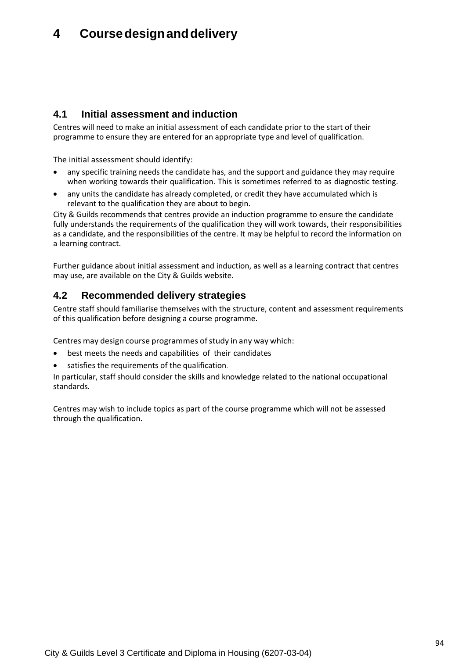# **4 Coursedesignanddelivery**

# **4.1 Initial assessment and induction**

Centres will need to make an initial assessment of each candidate prior to the start of their programme to ensure they are entered for an appropriate type and level of qualification.

The initial assessment should identify:

- any specific training needs the candidate has, and the support and guidance they may require when working towards their qualification. This is sometimes referred to as diagnostic testing.
- any units the candidate has already completed, or credit they have accumulated which is relevant to the qualification they are about to begin.

City & Guilds recommends that centres provide an induction programme to ensure the candidate fully understands the requirements of the qualification they will work towards, their responsibilities as a candidate, and the responsibilities of the centre. It may be helpful to record the information on a learning contract.

Further guidance about initial assessment and induction, as well as a learning contract that centres may use, are available on the City & Guilds website.

# **4.2 Recommended delivery strategies**

Centre staff should familiarise themselves with the structure, content and assessment requirements of this qualification before designing a course programme.

Centres may design course programmes of study in any way which:

- best meets the needs and capabilities of their candidates
- satisfies the requirements of the qualification.

In particular, staff should consider the skills and knowledge related to the national occupational standards.

Centres may wish to include topics as part of the course programme which will not be assessed through the qualification.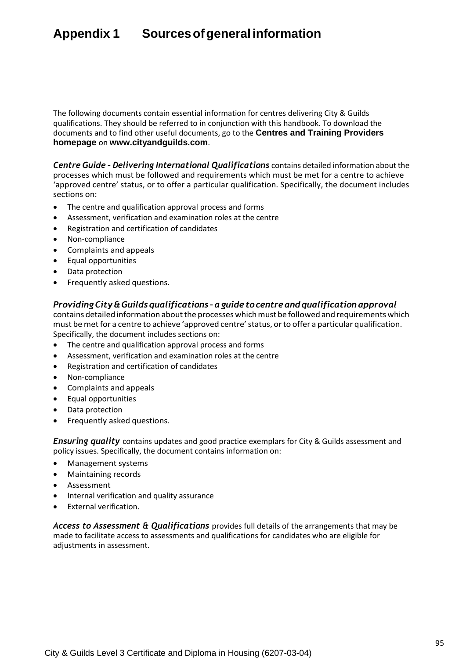# **Appendix 1 Sourcesofgeneralinformation**

The following documents contain essential information for centres delivering City & Guilds qualifications. They should be referred to in conjunction with this handbook. To download the documents and to find other useful documents, go to the **Centres and Training Providers homepage** on **[www.cityandguilds.com](http://www.cityandguilds.com/)**[.](http://www.cityandguilds.com/)

*Centre Guide – Delivering International Qualifications* contains detailed information about the processes which must be followed and requirements which must be met for a centre to achieve 'approved centre' status, or to offer a particular qualification. Specifically, the document includes sections on:

- The centre and qualification approval process and forms
- Assessment, verification and examination roles at the centre
- Registration and certification of candidates
- Non-compliance
- Complaints and appeals
- Equal opportunities
- Data protection
- Frequently asked questions.

#### *ProvidingCity&Guilds qualifications –aguide tocentreandqualification approval*

contains detailed information about the processes which must be followed and requirements which must be met for a centre to achieve 'approved centre'status, orto offer a particular qualification. Specifically, the document includes sections on:

- The centre and qualification approval process and forms
- Assessment, verification and examination roles at the centre
- Registration and certification of candidates
- Non-compliance
- Complaints and appeals
- Equal opportunities
- Data protection
- Frequently asked questions.

*Ensuring quality* contains updates and good practice exemplars for City & Guilds assessment and policy issues. Specifically, the document contains information on:

- Management systems
- Maintaining records
- Assessment
- Internal verification and quality assurance
- External verification.

*Access to Assessment & Qualifications* provides full details of the arrangements that may be made to facilitate access to assessments and qualifications for candidates who are eligible for adjustments in assessment.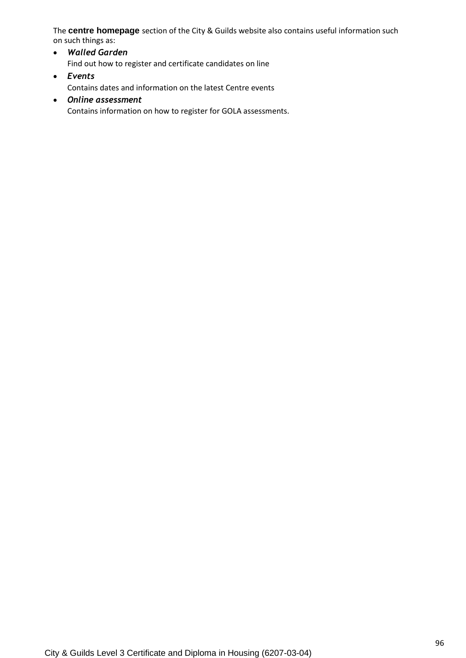The **centre homepage** section of the City & Guilds website also contains useful information such on such things as:

• *Walled Garden* Find out how to register and certificate candidates on line • *Events*

Contains dates and information on the latest Centre events

• *Online assessment* Contains information on how to register for GOLA assessments.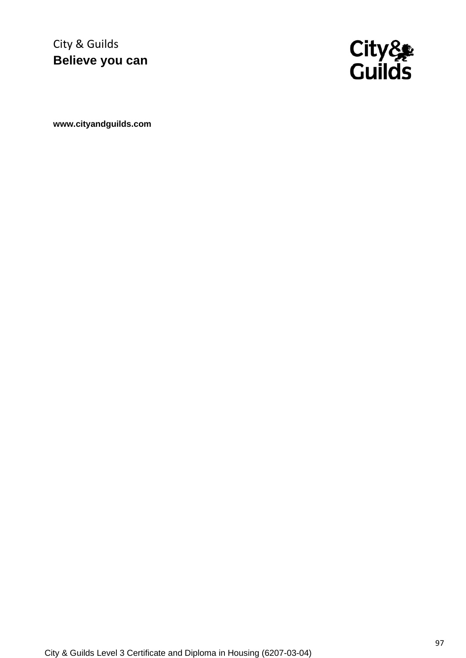City & Guilds **Believe you can**



**[www.cityandguilds.com](http://www.cityandguilds.com/)**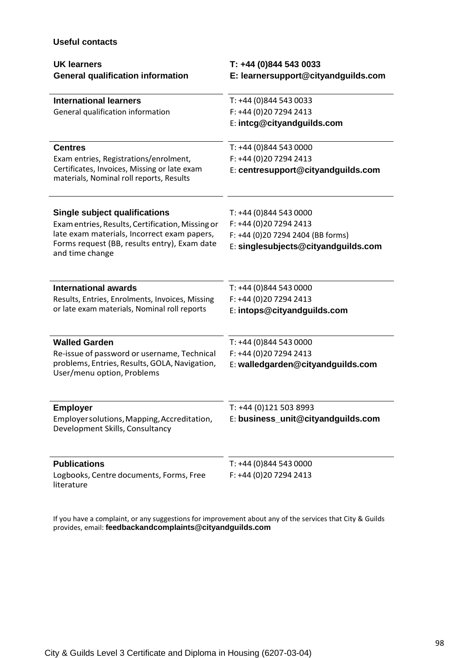### **Useful contacts**

| <b>UK learners</b><br><b>General qualification information</b>                           | T: +44 (0)844 543 0033<br>E: learnersupport@cityandguilds.com |
|------------------------------------------------------------------------------------------|---------------------------------------------------------------|
| <b>International learners</b>                                                            | T: +44 (0)844 543 0033                                        |
| General qualification information                                                        | F: +44 (0)20 7294 2413                                        |
|                                                                                          | E: intcg@cityandguilds.com                                    |
| <b>Centres</b>                                                                           | T: +44 (0)844 543 0000                                        |
| Exam entries, Registrations/enrolment,                                                   | F: +44 (0)20 7294 2413                                        |
| Certificates, Invoices, Missing or late exam<br>materials, Nominal roll reports, Results | E: centresupport@cityandguilds.com                            |
| <b>Single subject qualifications</b>                                                     | T: +44 (0)844 543 0000                                        |
| Exam entries, Results, Certification, Missing or                                         | F: +44 (0)20 7294 2413                                        |
| late exam materials, Incorrect exam papers,                                              | F: +44 (0)20 7294 2404 (BB forms)                             |
| Forms request (BB, results entry), Exam date<br>and time change                          | E: singlesubjects@cityandguilds.com                           |
| <b>International awards</b>                                                              | T: +44 (0)844 543 0000                                        |
| Results, Entries, Enrolments, Invoices, Missing                                          | F: +44 (0)20 7294 2413                                        |
| or late exam materials, Nominal roll reports                                             | E: intops@cityandguilds.com                                   |
| <b>Walled Garden</b>                                                                     | T: +44 (0)844 543 0000                                        |
| Re-issue of password or username, Technical                                              | F: +44 (0)20 7294 2413                                        |
| problems, Entries, Results, GOLA, Navigation,<br>User/menu option, Problems              | E: walledgarden@cityandguilds.com                             |
| <b>Employer</b>                                                                          | T: +44 (0)121 503 8993                                        |
| Employer solutions, Mapping, Accreditation,<br>Development Skills, Consultancy           | E: business_unit@cityandguilds.com                            |
| <b>Publications</b>                                                                      | T: +44 (0)844 543 0000                                        |
| Logbooks, Centre documents, Forms, Free<br>literature                                    | F: +44 (0)20 7294 2413                                        |

If you have a complaint, or any suggestions for improvement about any of the services that City & Guilds provides, email: **[feedbackandcomplaints@cityandguilds.com](mailto:feedbackandcomplaints@cityandguilds.com)**